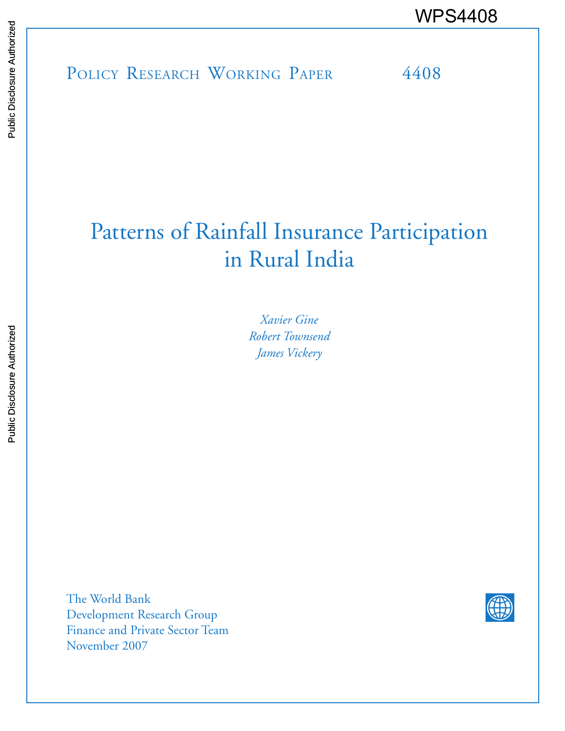POLICY RESEARCH WORKING PAPER 4408 WPS4408

# Patterns of Rainfall Insurance Participation in Rural India

*Xavier Gine Robert Townsend James Vickery* 

The World Bank Development Research Group Finance and Private Sector Team November 2007

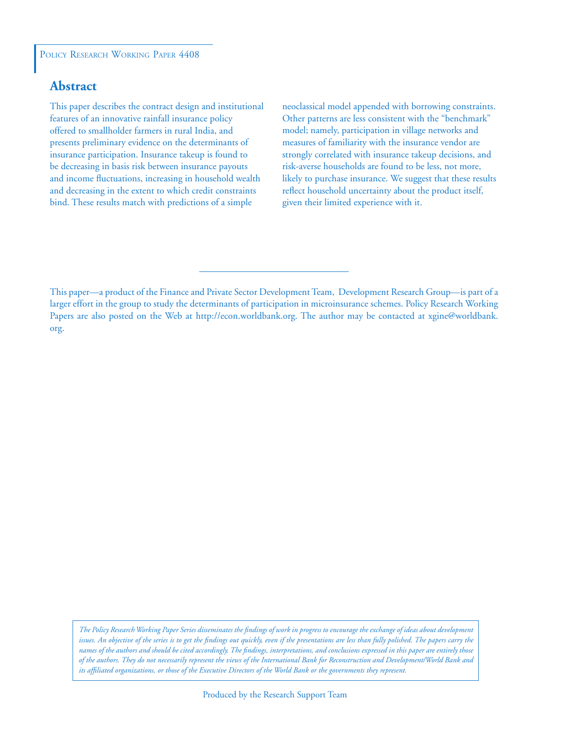#### POLICY RESEARCH WORKING PAPER 4408

## **Abstract**

This paper describes the contract design and institutional features of an innovative rainfall insurance policy offered to smallholder farmers in rural India, and presents preliminary evidence on the determinants of insurance participation. Insurance takeup is found to be decreasing in basis risk between insurance payouts and income fluctuations, increasing in household wealth and decreasing in the extent to which credit constraints bind. These results match with predictions of a simple

neoclassical model appended with borrowing constraints. Other patterns are less consistent with the "benchmark" model; namely, participation in village networks and measures of familiarity with the insurance vendor are strongly correlated with insurance takeup decisions, and risk-averse households are found to be less, not more, likely to purchase insurance. We suggest that these results reflect household uncertainty about the product itself, given their limited experience with it.

*The Policy Research Working Paper Series disseminates the findings of work in progress to encourage the exchange of ideas about development issues. An objective of the series is to get the findings out quickly, even if the presentations are less than fully polished. The papers carry the names of the authors and should be cited accordingly. The findings, interpretations, and conclusions expressed in this paper are entirely those of the authors. They do not necessarily represent the views of the International Bank for Reconstruction and Development/World Bank and its affiliated organizations, or those of the Executive Directors of the World Bank or the governments they represent.*

This paper—a product of the Finance and Private Sector Development Team, Development Research Group—is part of a larger effort in the group to study the determinants of participation in microinsurance schemes. Policy Research Working Papers are also posted on the Web at http://econ.worldbank.org. The author may be contacted at xgine@worldbank. org.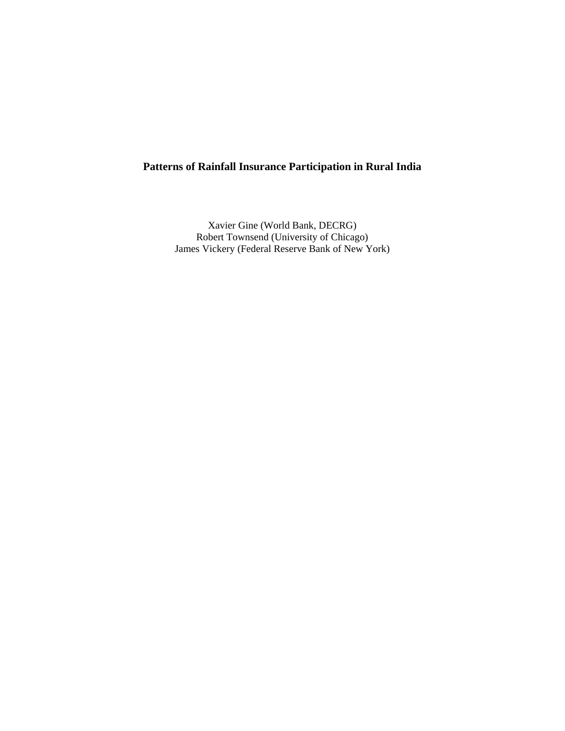## **Patterns of Rainfall Insurance Participation in Rural India**

Xavier Gine (World Bank, DECRG) Robert Townsend (University of Chicago) James Vickery (Federal Reserve Bank of New York)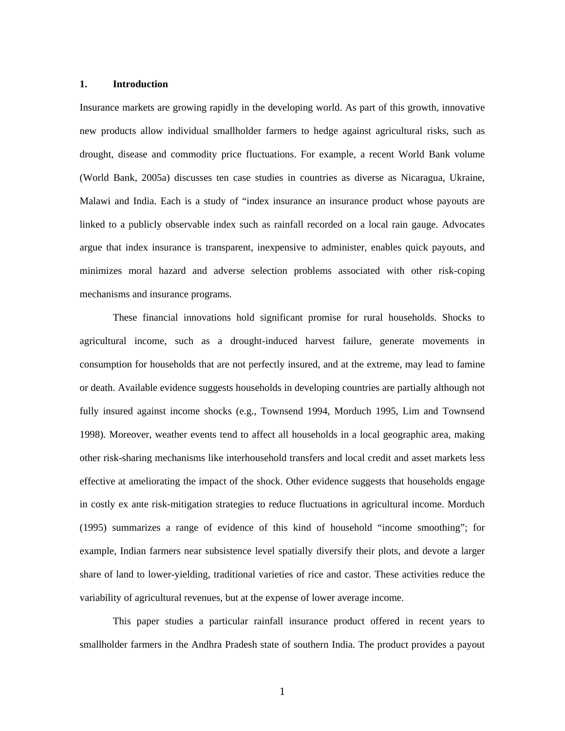#### **1. Introduction**

Insurance markets are growing rapidly in the developing world. As part of this growth, innovative new products allow individual smallholder farmers to hedge against agricultural risks, such as drought, disease and commodity price fluctuations. For example, a recent World Bank volume (World Bank, 2005a) discusses ten case studies in countries as diverse as Nicaragua, Ukraine, Malawi and India. Each is a study of "index insurance an insurance product whose payouts are linked to a publicly observable index such as rainfall recorded on a local rain gauge. Advocates argue that index insurance is transparent, inexpensive to administer, enables quick payouts, and minimizes moral hazard and adverse selection problems associated with other risk-coping mechanisms and insurance programs.

 These financial innovations hold significant promise for rural households. Shocks to agricultural income, such as a drought-induced harvest failure, generate movements in consumption for households that are not perfectly insured, and at the extreme, may lead to famine or death. Available evidence suggests households in developing countries are partially although not fully insured against income shocks (e.g., Townsend 1994, Morduch 1995, Lim and Townsend 1998). Moreover, weather events tend to affect all households in a local geographic area, making other risk-sharing mechanisms like interhousehold transfers and local credit and asset markets less effective at ameliorating the impact of the shock. Other evidence suggests that households engage in costly ex ante risk-mitigation strategies to reduce fluctuations in agricultural income. Morduch (1995) summarizes a range of evidence of this kind of household "income smoothing"; for example, Indian farmers near subsistence level spatially diversify their plots, and devote a larger share of land to lower-yielding, traditional varieties of rice and castor. These activities reduce the variability of agricultural revenues, but at the expense of lower average income.

This paper studies a particular rainfall insurance product offered in recent years to smallholder farmers in the Andhra Pradesh state of southern India. The product provides a payout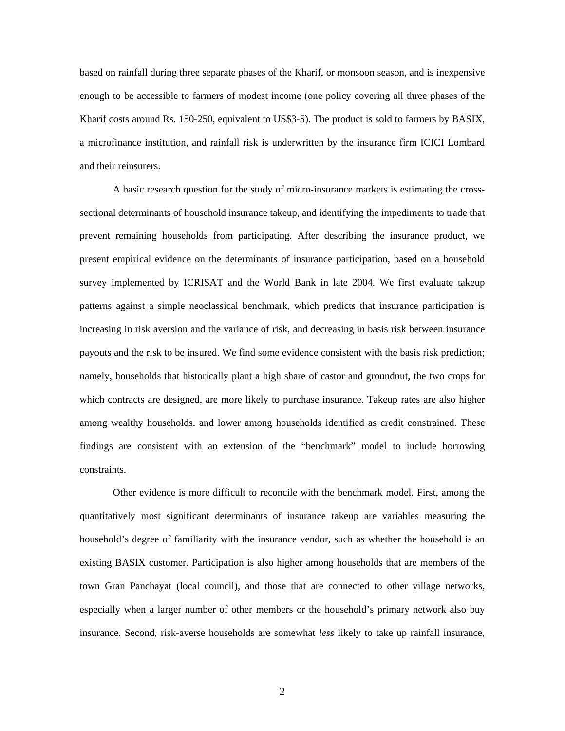based on rainfall during three separate phases of the Kharif, or monsoon season, and is inexpensive enough to be accessible to farmers of modest income (one policy covering all three phases of the Kharif costs around Rs. 150-250, equivalent to US\$3-5). The product is sold to farmers by BASIX, a microfinance institution, and rainfall risk is underwritten by the insurance firm ICICI Lombard and their reinsurers.

A basic research question for the study of micro-insurance markets is estimating the crosssectional determinants of household insurance takeup, and identifying the impediments to trade that prevent remaining households from participating. After describing the insurance product, we present empirical evidence on the determinants of insurance participation, based on a household survey implemented by ICRISAT and the World Bank in late 2004. We first evaluate takeup patterns against a simple neoclassical benchmark, which predicts that insurance participation is increasing in risk aversion and the variance of risk, and decreasing in basis risk between insurance payouts and the risk to be insured. We find some evidence consistent with the basis risk prediction; namely, households that historically plant a high share of castor and groundnut, the two crops for which contracts are designed, are more likely to purchase insurance. Takeup rates are also higher among wealthy households, and lower among households identified as credit constrained. These findings are consistent with an extension of the "benchmark" model to include borrowing constraints.

Other evidence is more difficult to reconcile with the benchmark model. First, among the quantitatively most significant determinants of insurance takeup are variables measuring the household's degree of familiarity with the insurance vendor, such as whether the household is an existing BASIX customer. Participation is also higher among households that are members of the town Gran Panchayat (local council), and those that are connected to other village networks, especially when a larger number of other members or the household's primary network also buy insurance. Second, risk-averse households are somewhat *less* likely to take up rainfall insurance,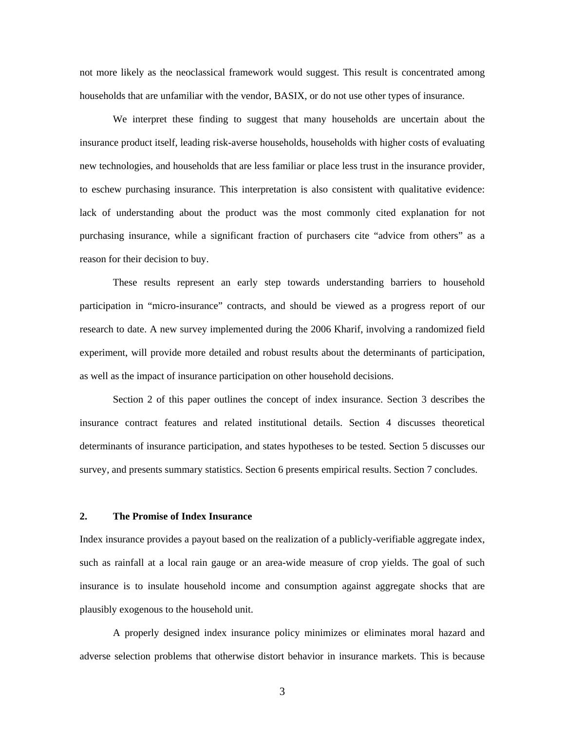not more likely as the neoclassical framework would suggest. This result is concentrated among households that are unfamiliar with the vendor, BASIX, or do not use other types of insurance.

We interpret these finding to suggest that many households are uncertain about the insurance product itself, leading risk-averse households, households with higher costs of evaluating new technologies, and households that are less familiar or place less trust in the insurance provider, to eschew purchasing insurance. This interpretation is also consistent with qualitative evidence: lack of understanding about the product was the most commonly cited explanation for not purchasing insurance, while a significant fraction of purchasers cite "advice from others" as a reason for their decision to buy.

These results represent an early step towards understanding barriers to household participation in "micro-insurance" contracts, and should be viewed as a progress report of our research to date. A new survey implemented during the 2006 Kharif, involving a randomized field experiment, will provide more detailed and robust results about the determinants of participation, as well as the impact of insurance participation on other household decisions.

 Section 2 of this paper outlines the concept of index insurance. Section 3 describes the insurance contract features and related institutional details. Section 4 discusses theoretical determinants of insurance participation, and states hypotheses to be tested. Section 5 discusses our survey, and presents summary statistics. Section 6 presents empirical results. Section 7 concludes.

#### **2. The Promise of Index Insurance**

Index insurance provides a payout based on the realization of a publicly-verifiable aggregate index, such as rainfall at a local rain gauge or an area-wide measure of crop yields. The goal of such insurance is to insulate household income and consumption against aggregate shocks that are plausibly exogenous to the household unit.

A properly designed index insurance policy minimizes or eliminates moral hazard and adverse selection problems that otherwise distort behavior in insurance markets. This is because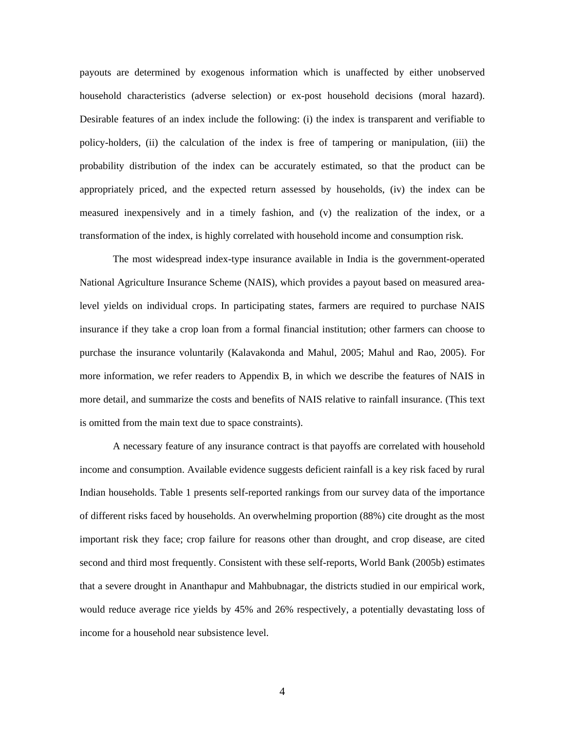payouts are determined by exogenous information which is unaffected by either unobserved household characteristics (adverse selection) or ex-post household decisions (moral hazard). Desirable features of an index include the following: (i) the index is transparent and verifiable to policy-holders, (ii) the calculation of the index is free of tampering or manipulation, (iii) the probability distribution of the index can be accurately estimated, so that the product can be appropriately priced, and the expected return assessed by households, (iv) the index can be measured inexpensively and in a timely fashion, and (v) the realization of the index, or a transformation of the index, is highly correlated with household income and consumption risk.

The most widespread index-type insurance available in India is the government-operated National Agriculture Insurance Scheme (NAIS), which provides a payout based on measured arealevel yields on individual crops. In participating states, farmers are required to purchase NAIS insurance if they take a crop loan from a formal financial institution; other farmers can choose to purchase the insurance voluntarily (Kalavakonda and Mahul, 2005; Mahul and Rao, 2005). For more information, we refer readers to Appendix B, in which we describe the features of NAIS in more detail, and summarize the costs and benefits of NAIS relative to rainfall insurance. (This text is omitted from the main text due to space constraints).

A necessary feature of any insurance contract is that payoffs are correlated with household income and consumption. Available evidence suggests deficient rainfall is a key risk faced by rural Indian households. Table 1 presents self-reported rankings from our survey data of the importance of different risks faced by households. An overwhelming proportion (88%) cite drought as the most important risk they face; crop failure for reasons other than drought, and crop disease, are cited second and third most frequently. Consistent with these self-reports, World Bank (2005b) estimates that a severe drought in Ananthapur and Mahbubnagar, the districts studied in our empirical work, would reduce average rice yields by 45% and 26% respectively, a potentially devastating loss of income for a household near subsistence level.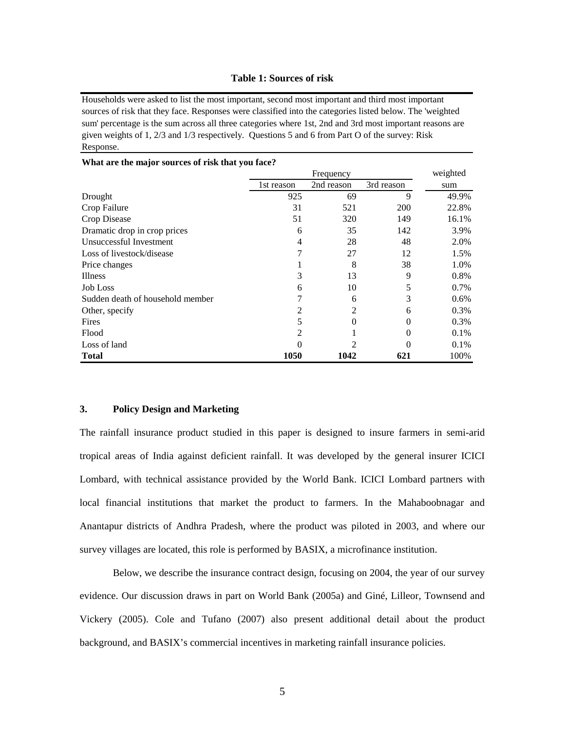#### **Table 1: Sources of risk**

Households were asked to list the most important, second most important and third most important sources of risk that they face. Responses were classified into the categories listed below. The 'weighted sum' percentage is the sum across all three categories where 1st, 2nd and 3rd most important reasons are given weights of 1, 2/3 and 1/3 respectively. Questions 5 and 6 from Part O of the survey: Risk Response.

|                                  | Frequency  |            |            | weighted |
|----------------------------------|------------|------------|------------|----------|
|                                  | 1st reason | 2nd reason | 3rd reason | sum      |
| Drought                          | 925        | 69         | 9          | 49.9%    |
| Crop Failure                     | 31         | 521        | <b>200</b> | 22.8%    |
| Crop Disease                     | 51         | 320        | 149        | 16.1%    |
| Dramatic drop in crop prices     | 6          | 35         | 142        | 3.9%     |
| Unsuccessful Investment          | 4          | 28         | 48         | 2.0%     |
| Loss of livestock/disease        |            | 27         | 12         | 1.5%     |
| Price changes                    |            | 8          | 38         | 1.0%     |
| Illness                          | 3          | 13         | 9          | 0.8%     |
| <b>Job Loss</b>                  | 6          | 10         | 5          | 0.7%     |
| Sudden death of household member |            | 6          | 3          | $0.6\%$  |
| Other, specify                   |            | 2          | 6          | 0.3%     |
| Fires                            |            | 0          | $\Omega$   | 0.3%     |
| Flood                            |            |            | 0          | 0.1%     |
| Loss of land                     |            |            |            | 0.1%     |
| <b>Total</b>                     | 1050       | 1042       | 621        | 100%     |

#### **What are the major sources of risk that you face?**

#### **3. Policy Design and Marketing**

The rainfall insurance product studied in this paper is designed to insure farmers in semi-arid tropical areas of India against deficient rainfall. It was developed by the general insurer ICICI Lombard, with technical assistance provided by the World Bank. ICICI Lombard partners with local financial institutions that market the product to farmers. In the Mahaboobnagar and Anantapur districts of Andhra Pradesh, where the product was piloted in 2003, and where our survey villages are located, this role is performed by BASIX, a microfinance institution.

Below, we describe the insurance contract design, focusing on 2004, the year of our survey evidence. Our discussion draws in part on World Bank (2005a) and Giné, Lilleor, Townsend and Vickery (2005). Cole and Tufano (2007) also present additional detail about the product background, and BASIX's commercial incentives in marketing rainfall insurance policies.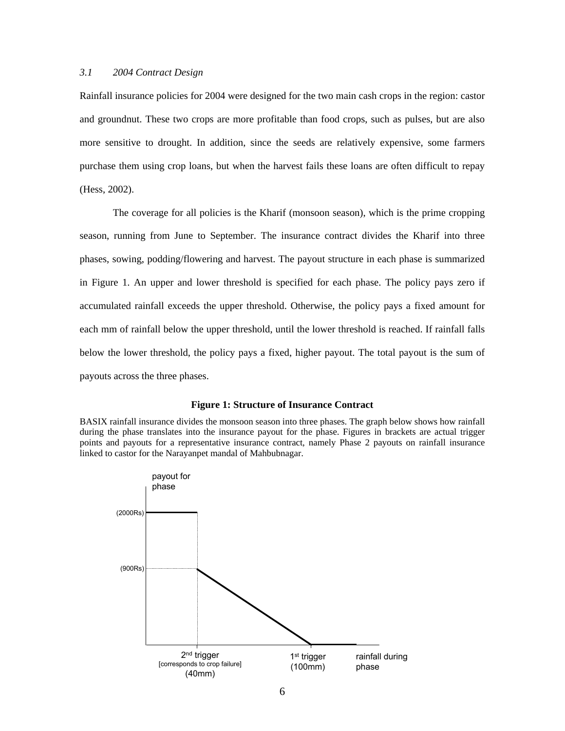#### *3.1 2004 Contract Design*

Rainfall insurance policies for 2004 were designed for the two main cash crops in the region: castor and groundnut. These two crops are more profitable than food crops, such as pulses, but are also more sensitive to drought. In addition, since the seeds are relatively expensive, some farmers purchase them using crop loans, but when the harvest fails these loans are often difficult to repay (Hess, 2002).

The coverage for all policies is the Kharif (monsoon season), which is the prime cropping season, running from June to September. The insurance contract divides the Kharif into three phases, sowing, podding/flowering and harvest. The payout structure in each phase is summarized in Figure 1. An upper and lower threshold is specified for each phase. The policy pays zero if accumulated rainfall exceeds the upper threshold. Otherwise, the policy pays a fixed amount for each mm of rainfall below the upper threshold, until the lower threshold is reached. If rainfall falls below the lower threshold, the policy pays a fixed, higher payout. The total payout is the sum of payouts across the three phases.

#### **Figure 1: Structure of Insurance Contract**

BASIX rainfall insurance divides the monsoon season into three phases. The graph below shows how rainfall during the phase translates into the insurance payout for the phase. Figures in brackets are actual trigger points and payouts for a representative insurance contract, namely Phase 2 payouts on rainfall insurance linked to castor for the Narayanpet mandal of Mahbubnagar.

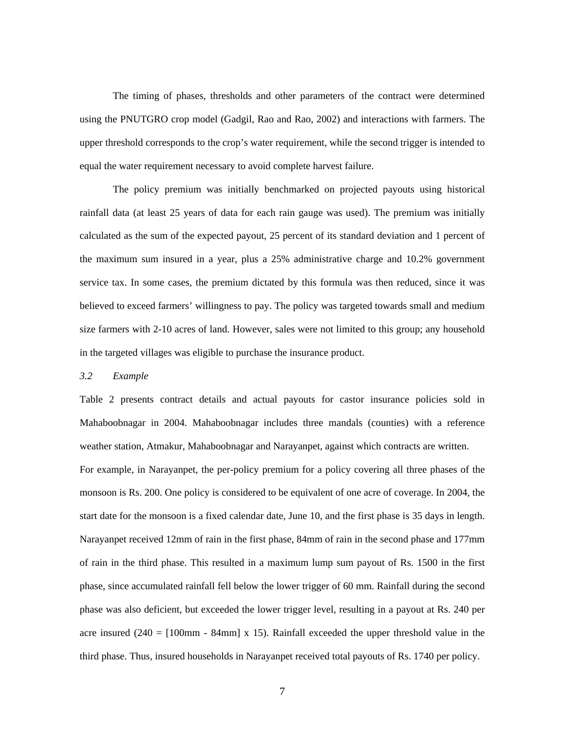The timing of phases, thresholds and other parameters of the contract were determined using the PNUTGRO crop model (Gadgil, Rao and Rao, 2002) and interactions with farmers. The upper threshold corresponds to the crop's water requirement, while the second trigger is intended to equal the water requirement necessary to avoid complete harvest failure.

The policy premium was initially benchmarked on projected payouts using historical rainfall data (at least 25 years of data for each rain gauge was used). The premium was initially calculated as the sum of the expected payout, 25 percent of its standard deviation and 1 percent of the maximum sum insured in a year, plus a 25% administrative charge and 10.2% government service tax. In some cases, the premium dictated by this formula was then reduced, since it was believed to exceed farmers' willingness to pay. The policy was targeted towards small and medium size farmers with 2-10 acres of land. However, sales were not limited to this group; any household in the targeted villages was eligible to purchase the insurance product.

#### *3.2 Example*

Table 2 presents contract details and actual payouts for castor insurance policies sold in Mahaboobnagar in 2004. Mahaboobnagar includes three mandals (counties) with a reference weather station, Atmakur, Mahaboobnagar and Narayanpet, against which contracts are written.

For example, in Narayanpet, the per-policy premium for a policy covering all three phases of the monsoon is Rs. 200. One policy is considered to be equivalent of one acre of coverage. In 2004, the start date for the monsoon is a fixed calendar date, June 10, and the first phase is 35 days in length. Narayanpet received 12mm of rain in the first phase, 84mm of rain in the second phase and 177mm of rain in the third phase. This resulted in a maximum lump sum payout of Rs. 1500 in the first phase, since accumulated rainfall fell below the lower trigger of 60 mm. Rainfall during the second phase was also deficient, but exceeded the lower trigger level, resulting in a payout at Rs. 240 per acre insured (240 =  $[100 \text{mm} - 84 \text{mm}]$  x 15). Rainfall exceeded the upper threshold value in the third phase. Thus, insured households in Narayanpet received total payouts of Rs. 1740 per policy.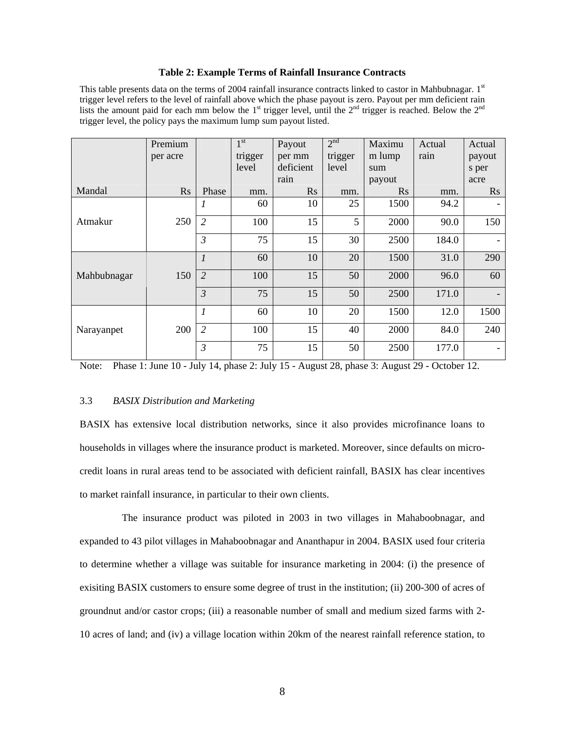#### **Table 2: Example Terms of Rainfall Insurance Contracts**

This table presents data on the terms of 2004 rainfall insurance contracts linked to castor in Mahbubnagar.  $1<sup>st</sup>$ trigger level refers to the level of rainfall above which the phase payout is zero. Payout per mm deficient rain lists the amount paid for each mm below the  $1<sup>st</sup>$  trigger level, until the  $2<sup>nd</sup>$  trigger is reached. Below the  $2<sup>nd</sup>$ trigger level, the policy pays the maximum lump sum payout listed.

|             | Premium  |                             | 1 <sup>st</sup> | Payout    | 2 <sup>nd</sup> | Maximu   | Actual | Actual         |
|-------------|----------|-----------------------------|-----------------|-----------|-----------------|----------|--------|----------------|
|             | per acre |                             | trigger         | per mm    | trigger         | m lump   | rain   | payout         |
|             |          |                             | level           | deficient | level           | sum      |        | s per          |
|             |          |                             |                 | rain      |                 | payout   |        | acre           |
| Mandal      | Rs       | Phase                       | mm.             | $\rm Rs$  | mm.             | $\rm Rs$ | mm.    | $\mathbf{R}$ s |
|             |          |                             | 60              | 10        | 25              | 1500     | 94.2   |                |
| Atmakur     | 250      | 2                           | 100             | 15        | 5               | 2000     | 90.0   | 150            |
|             |          | $\mathfrak{Z}$              | 75              | 15        | 30              | 2500     | 184.0  |                |
|             |          | $\mathcal{I}_{\mathcal{I}}$ | 60              | 10        | 20              | 1500     | 31.0   | 290            |
| Mahbubnagar | 150      | $\overline{2}$              | 100             | 15        | 50              | 2000     | 96.0   | 60             |
|             |          | $\mathfrak{Z}$              | 75              | 15        | 50              | 2500     | 171.0  |                |
|             |          | $\boldsymbol{l}$            | 60              | 10        | 20              | 1500     | 12.0   | 1500           |
| Narayanpet  | 200      | $\overline{2}$              | 100             | 15        | 40              | 2000     | 84.0   | 240            |
|             |          | $\mathfrak{Z}$              | 75              | 15        | 50              | 2500     | 177.0  |                |

Note: Phase 1: June 10 - July 14, phase 2: July 15 - August 28, phase 3: August 29 - October 12.

#### 3.3 *BASIX Distribution and Marketing*

BASIX has extensive local distribution networks, since it also provides microfinance loans to households in villages where the insurance product is marketed. Moreover, since defaults on microcredit loans in rural areas tend to be associated with deficient rainfall, BASIX has clear incentives to market rainfall insurance, in particular to their own clients.

 The insurance product was piloted in 2003 in two villages in Mahaboobnagar, and expanded to 43 pilot villages in Mahaboobnagar and Ananthapur in 2004. BASIX used four criteria to determine whether a village was suitable for insurance marketing in 2004: (i) the presence of exisiting BASIX customers to ensure some degree of trust in the institution; (ii) 200-300 of acres of groundnut and/or castor crops; (iii) a reasonable number of small and medium sized farms with 2- 10 acres of land; and (iv) a village location within 20km of the nearest rainfall reference station, to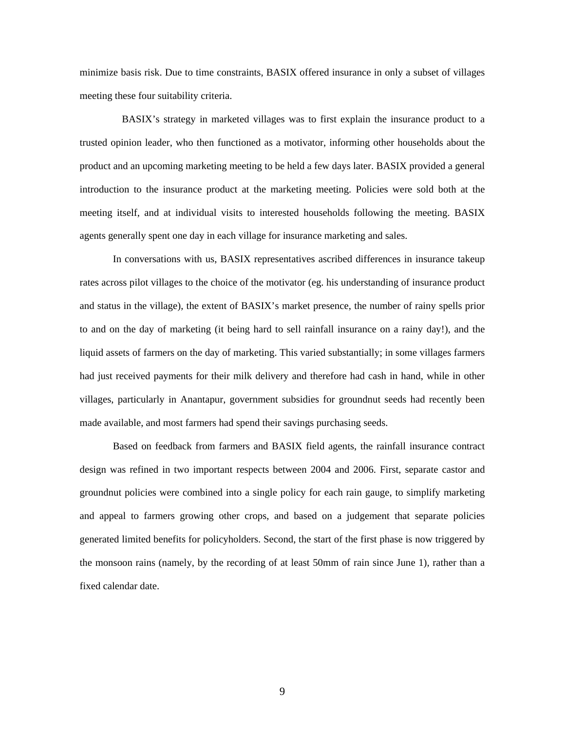minimize basis risk. Due to time constraints, BASIX offered insurance in only a subset of villages meeting these four suitability criteria.

 BASIX's strategy in marketed villages was to first explain the insurance product to a trusted opinion leader, who then functioned as a motivator, informing other households about the product and an upcoming marketing meeting to be held a few days later. BASIX provided a general introduction to the insurance product at the marketing meeting. Policies were sold both at the meeting itself, and at individual visits to interested households following the meeting. BASIX agents generally spent one day in each village for insurance marketing and sales.

In conversations with us, BASIX representatives ascribed differences in insurance takeup rates across pilot villages to the choice of the motivator (eg. his understanding of insurance product and status in the village), the extent of BASIX's market presence, the number of rainy spells prior to and on the day of marketing (it being hard to sell rainfall insurance on a rainy day!), and the liquid assets of farmers on the day of marketing. This varied substantially; in some villages farmers had just received payments for their milk delivery and therefore had cash in hand, while in other villages, particularly in Anantapur, government subsidies for groundnut seeds had recently been made available, and most farmers had spend their savings purchasing seeds.

Based on feedback from farmers and BASIX field agents, the rainfall insurance contract design was refined in two important respects between 2004 and 2006. First, separate castor and groundnut policies were combined into a single policy for each rain gauge, to simplify marketing and appeal to farmers growing other crops, and based on a judgement that separate policies generated limited benefits for policyholders. Second, the start of the first phase is now triggered by the monsoon rains (namely, by the recording of at least 50mm of rain since June 1), rather than a fixed calendar date.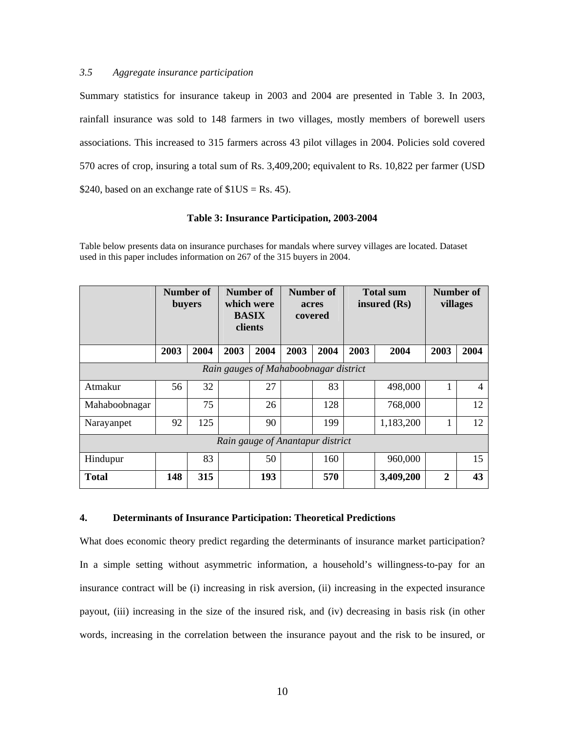#### *3.5 Aggregate insurance participation*

Summary statistics for insurance takeup in 2003 and 2004 are presented in Table 3. In 2003, rainfall insurance was sold to 148 farmers in two villages, mostly members of borewell users associations. This increased to 315 farmers across 43 pilot villages in 2004. Policies sold covered 570 acres of crop, insuring a total sum of Rs. 3,409,200; equivalent to Rs. 10,822 per farmer (USD \$240, based on an exchange rate of  $$1US = Rs. 45$ .

#### **Table 3: Insurance Participation, 2003-2004**

Table below presents data on insurance purchases for mandals where survey villages are located. Dataset used in this paper includes information on 267 of the 315 buyers in 2004.

|                                       |      | Number of<br>buyers |      | Number of<br>which were<br><b>BASIX</b><br>clients |      | Number of<br>acres<br>covered | <b>Total sum</b><br>insured (Rs) |           |              | Number of<br>villages |
|---------------------------------------|------|---------------------|------|----------------------------------------------------|------|-------------------------------|----------------------------------|-----------|--------------|-----------------------|
|                                       | 2003 | 2004                | 2003 | 2004                                               | 2003 | 2004                          | 2003                             | 2004      | 2003         | 2004                  |
| Rain gauges of Mahaboobnagar district |      |                     |      |                                                    |      |                               |                                  |           |              |                       |
| Atmakur                               | 56   | 32                  |      | 27                                                 |      | 83                            |                                  | 498,000   | 1            | 4                     |
| Mahaboobnagar                         |      | 75                  |      | 26                                                 |      | 128                           |                                  | 768,000   |              | 12                    |
| Narayanpet                            | 92   | 125                 |      | 90                                                 |      | 199                           |                                  | 1,183,200 | 1            | 12                    |
| Rain gauge of Anantapur district      |      |                     |      |                                                    |      |                               |                                  |           |              |                       |
| Hindupur                              |      | 83                  |      | 50                                                 |      | 160                           |                                  | 960,000   |              | 15                    |
| <b>Total</b>                          | 148  | 315                 |      | 193                                                |      | 570                           |                                  | 3,409,200 | $\mathbf{2}$ | 43                    |

#### **4. Determinants of Insurance Participation: Theoretical Predictions**

What does economic theory predict regarding the determinants of insurance market participation? In a simple setting without asymmetric information, a household's willingness-to-pay for an insurance contract will be (i) increasing in risk aversion, (ii) increasing in the expected insurance payout, (iii) increasing in the size of the insured risk, and (iv) decreasing in basis risk (in other words, increasing in the correlation between the insurance payout and the risk to be insured, or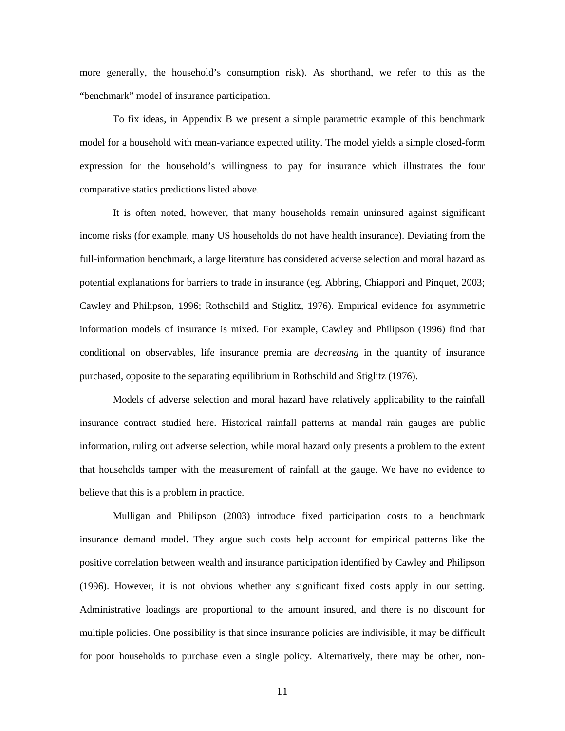more generally, the household's consumption risk). As shorthand, we refer to this as the "benchmark" model of insurance participation.

To fix ideas, in Appendix B we present a simple parametric example of this benchmark model for a household with mean-variance expected utility. The model yields a simple closed-form expression for the household's willingness to pay for insurance which illustrates the four comparative statics predictions listed above.

 It is often noted, however, that many households remain uninsured against significant income risks (for example, many US households do not have health insurance). Deviating from the full-information benchmark, a large literature has considered adverse selection and moral hazard as potential explanations for barriers to trade in insurance (eg. Abbring, Chiappori and Pinquet, 2003; Cawley and Philipson, 1996; Rothschild and Stiglitz, 1976). Empirical evidence for asymmetric information models of insurance is mixed. For example, Cawley and Philipson (1996) find that conditional on observables, life insurance premia are *decreasing* in the quantity of insurance purchased, opposite to the separating equilibrium in Rothschild and Stiglitz (1976).

Models of adverse selection and moral hazard have relatively applicability to the rainfall insurance contract studied here. Historical rainfall patterns at mandal rain gauges are public information, ruling out adverse selection, while moral hazard only presents a problem to the extent that households tamper with the measurement of rainfall at the gauge. We have no evidence to believe that this is a problem in practice.

Mulligan and Philipson (2003) introduce fixed participation costs to a benchmark insurance demand model. They argue such costs help account for empirical patterns like the positive correlation between wealth and insurance participation identified by Cawley and Philipson (1996). However, it is not obvious whether any significant fixed costs apply in our setting. Administrative loadings are proportional to the amount insured, and there is no discount for multiple policies. One possibility is that since insurance policies are indivisible, it may be difficult for poor households to purchase even a single policy. Alternatively, there may be other, non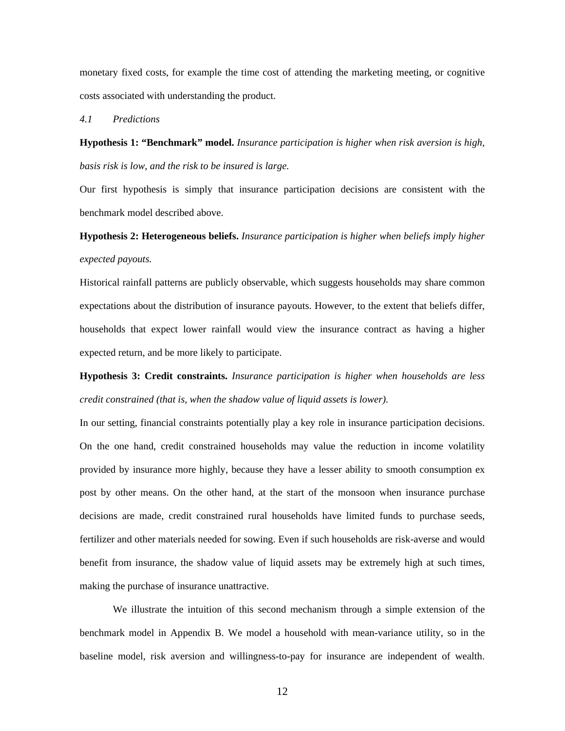monetary fixed costs, for example the time cost of attending the marketing meeting, or cognitive costs associated with understanding the product.

#### *4.1 Predictions*

**Hypothesis 1: "Benchmark" model.** *Insurance participation is higher when risk aversion is high, basis risk is low, and the risk to be insured is large.* 

Our first hypothesis is simply that insurance participation decisions are consistent with the benchmark model described above.

## **Hypothesis 2: Heterogeneous beliefs.** *Insurance participation is higher when beliefs imply higher expected payouts.*

Historical rainfall patterns are publicly observable, which suggests households may share common expectations about the distribution of insurance payouts. However, to the extent that beliefs differ, households that expect lower rainfall would view the insurance contract as having a higher expected return, and be more likely to participate.

**Hypothesis 3: Credit constraints.** *Insurance participation is higher when households are less credit constrained (that is, when the shadow value of liquid assets is lower).*

In our setting, financial constraints potentially play a key role in insurance participation decisions. On the one hand, credit constrained households may value the reduction in income volatility provided by insurance more highly, because they have a lesser ability to smooth consumption ex post by other means. On the other hand, at the start of the monsoon when insurance purchase decisions are made, credit constrained rural households have limited funds to purchase seeds, fertilizer and other materials needed for sowing. Even if such households are risk-averse and would benefit from insurance, the shadow value of liquid assets may be extremely high at such times, making the purchase of insurance unattractive.

 We illustrate the intuition of this second mechanism through a simple extension of the benchmark model in Appendix B. We model a household with mean-variance utility, so in the baseline model, risk aversion and willingness-to-pay for insurance are independent of wealth.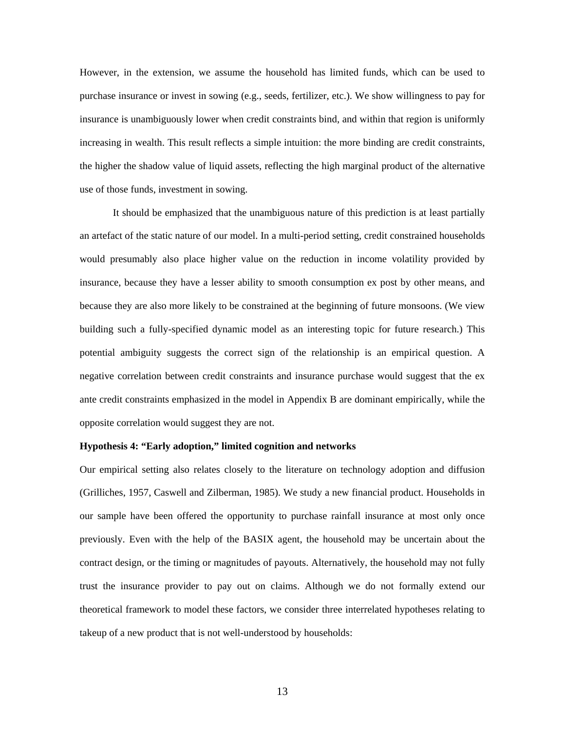However, in the extension, we assume the household has limited funds, which can be used to purchase insurance or invest in sowing (e.g., seeds, fertilizer, etc.). We show willingness to pay for insurance is unambiguously lower when credit constraints bind, and within that region is uniformly increasing in wealth. This result reflects a simple intuition: the more binding are credit constraints, the higher the shadow value of liquid assets, reflecting the high marginal product of the alternative use of those funds, investment in sowing.

It should be emphasized that the unambiguous nature of this prediction is at least partially an artefact of the static nature of our model. In a multi-period setting, credit constrained households would presumably also place higher value on the reduction in income volatility provided by insurance, because they have a lesser ability to smooth consumption ex post by other means, and because they are also more likely to be constrained at the beginning of future monsoons. (We view building such a fully-specified dynamic model as an interesting topic for future research.) This potential ambiguity suggests the correct sign of the relationship is an empirical question. A negative correlation between credit constraints and insurance purchase would suggest that the ex ante credit constraints emphasized in the model in Appendix B are dominant empirically, while the opposite correlation would suggest they are not.

#### **Hypothesis 4: "Early adoption," limited cognition and networks**

Our empirical setting also relates closely to the literature on technology adoption and diffusion (Grilliches, 1957, Caswell and Zilberman, 1985). We study a new financial product. Households in our sample have been offered the opportunity to purchase rainfall insurance at most only once previously. Even with the help of the BASIX agent, the household may be uncertain about the contract design, or the timing or magnitudes of payouts. Alternatively, the household may not fully trust the insurance provider to pay out on claims. Although we do not formally extend our theoretical framework to model these factors, we consider three interrelated hypotheses relating to takeup of a new product that is not well-understood by households: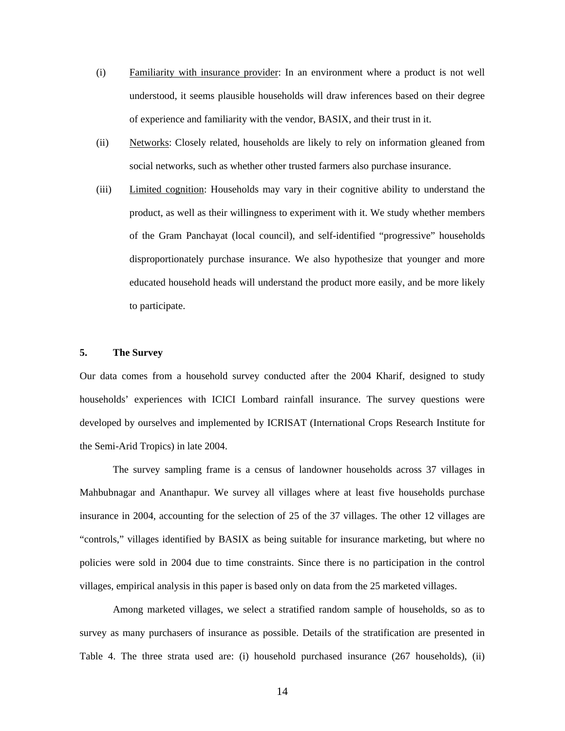- (i) Familiarity with insurance provider: In an environment where a product is not well understood, it seems plausible households will draw inferences based on their degree of experience and familiarity with the vendor, BASIX, and their trust in it.
- (ii) Networks: Closely related, households are likely to rely on information gleaned from social networks, such as whether other trusted farmers also purchase insurance.
- (iii) Limited cognition: Households may vary in their cognitive ability to understand the product, as well as their willingness to experiment with it. We study whether members of the Gram Panchayat (local council), and self-identified "progressive" households disproportionately purchase insurance. We also hypothesize that younger and more educated household heads will understand the product more easily, and be more likely to participate.

#### **5. The Survey**

Our data comes from a household survey conducted after the 2004 Kharif, designed to study households' experiences with ICICI Lombard rainfall insurance. The survey questions were developed by ourselves and implemented by ICRISAT (International Crops Research Institute for the Semi-Arid Tropics) in late 2004.

 The survey sampling frame is a census of landowner households across 37 villages in Mahbubnagar and Ananthapur. We survey all villages where at least five households purchase insurance in 2004, accounting for the selection of 25 of the 37 villages. The other 12 villages are "controls," villages identified by BASIX as being suitable for insurance marketing, but where no policies were sold in 2004 due to time constraints. Since there is no participation in the control villages, empirical analysis in this paper is based only on data from the 25 marketed villages.

 Among marketed villages, we select a stratified random sample of households, so as to survey as many purchasers of insurance as possible. Details of the stratification are presented in Table 4. The three strata used are: (i) household purchased insurance (267 households), (ii)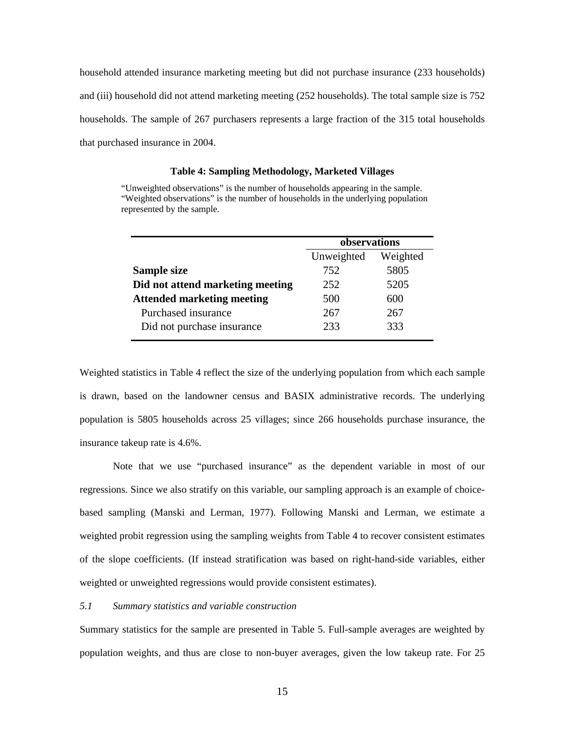household attended insurance marketing meeting but did not purchase insurance (233 households) and (iii) household did not attend marketing meeting (252 households). The total sample size is 752 households. The sample of 267 purchasers represents a large fraction of the 315 total households that purchased insurance in 2004.

#### **Table 4: Sampling Methodology, Marketed Villages**

"Unweighted observations" is the number of households appearing in the sample. "Weighted observations" is the number of households in the underlying population represented by the sample.

|                                   | observations |          |  |  |
|-----------------------------------|--------------|----------|--|--|
|                                   | Unweighted   | Weighted |  |  |
| Sample size                       | 752          | 5805     |  |  |
| Did not attend marketing meeting  | 252          | 5205     |  |  |
| <b>Attended marketing meeting</b> | 500          | 600      |  |  |
| Purchased insurance               | 267          | 267      |  |  |
| Did not purchase insurance        | 233          | 333      |  |  |

Weighted statistics in Table 4 reflect the size of the underlying population from which each sample is drawn, based on the landowner census and BASIX administrative records. The underlying population is 5805 households across 25 villages; since 266 households purchase insurance, the insurance takeup rate is 4.6%.

Note that we use "purchased insurance" as the dependent variable in most of our regressions. Since we also stratify on this variable, our sampling approach is an example of choicebased sampling (Manski and Lerman, 1977). Following Manski and Lerman, we estimate a weighted probit regression using the sampling weights from Table 4 to recover consistent estimates of the slope coefficients. (If instead stratification was based on right-hand-side variables, either weighted or unweighted regressions would provide consistent estimates).

#### *5.1 Summary statistics and variable construction*

Summary statistics for the sample are presented in Table 5. Full-sample averages are weighted by population weights, and thus are close to non-buyer averages, given the low takeup rate. For 25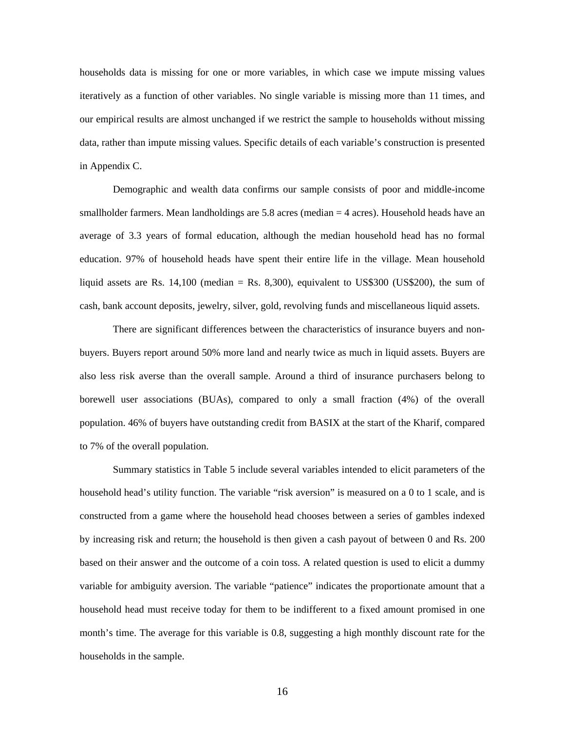households data is missing for one or more variables, in which case we impute missing values iteratively as a function of other variables. No single variable is missing more than 11 times, and our empirical results are almost unchanged if we restrict the sample to households without missing data, rather than impute missing values. Specific details of each variable's construction is presented in Appendix C.

Demographic and wealth data confirms our sample consists of poor and middle-income smallholder farmers. Mean landholdings are 5.8 acres (median = 4 acres). Household heads have an average of 3.3 years of formal education, although the median household head has no formal education. 97% of household heads have spent their entire life in the village. Mean household liquid assets are Rs.  $14,100$  (median = Rs. 8,300), equivalent to US\$300 (US\$200), the sum of cash, bank account deposits, jewelry, silver, gold, revolving funds and miscellaneous liquid assets.

 There are significant differences between the characteristics of insurance buyers and nonbuyers. Buyers report around 50% more land and nearly twice as much in liquid assets. Buyers are also less risk averse than the overall sample. Around a third of insurance purchasers belong to borewell user associations (BUAs), compared to only a small fraction (4%) of the overall population. 46% of buyers have outstanding credit from BASIX at the start of the Kharif, compared to 7% of the overall population.

 Summary statistics in Table 5 include several variables intended to elicit parameters of the household head's utility function. The variable "risk aversion" is measured on a 0 to 1 scale, and is constructed from a game where the household head chooses between a series of gambles indexed by increasing risk and return; the household is then given a cash payout of between 0 and Rs. 200 based on their answer and the outcome of a coin toss. A related question is used to elicit a dummy variable for ambiguity aversion. The variable "patience" indicates the proportionate amount that a household head must receive today for them to be indifferent to a fixed amount promised in one month's time. The average for this variable is 0.8, suggesting a high monthly discount rate for the households in the sample.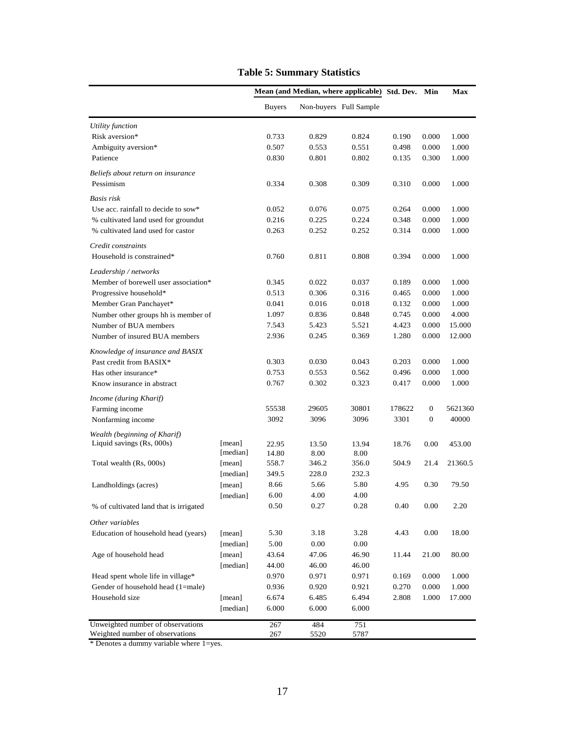|                                        |                    |                | Mean (and Median, where applicable) |                        | Std. Dev. | Min              | Max     |
|----------------------------------------|--------------------|----------------|-------------------------------------|------------------------|-----------|------------------|---------|
|                                        |                    | <b>Buyers</b>  |                                     | Non-buyers Full Sample |           |                  |         |
| <b>Utility</b> function                |                    |                |                                     |                        |           |                  |         |
| Risk aversion*                         |                    | 0.733          | 0.829                               | 0.824                  | 0.190     | 0.000            | 1.000   |
| Ambiguity aversion*                    |                    | 0.507          | 0.553                               | 0.551                  | 0.498     | 0.000            | 1.000   |
| Patience                               |                    | 0.830          | 0.801                               | 0.802                  | 0.135     | 0.300            | 1.000   |
| Beliefs about return on insurance      |                    |                |                                     |                        |           |                  |         |
| Pessimism                              |                    | 0.334          | 0.308                               | 0.309                  | 0.310     | 0.000            | 1.000   |
| Basis risk                             |                    |                |                                     |                        |           |                  |         |
| Use acc. rainfall to decide to sow*    |                    | 0.052          | 0.076                               | 0.075                  | 0.264     | 0.000            | 1.000   |
| % cultivated land used for groundut    |                    | 0.216          | 0.225                               | 0.224                  | 0.348     | 0.000            | 1.000   |
| % cultivated land used for castor      |                    | 0.263          | 0.252                               | 0.252                  | 0.314     | 0.000            | 1.000   |
| Credit constraints                     |                    |                |                                     |                        |           |                  |         |
| Household is constrained*              |                    | 0.760          | 0.811                               | 0.808                  | 0.394     | 0.000            | 1.000   |
| Leadership / networks                  |                    |                |                                     |                        |           |                  |         |
| Member of borewell user association*   |                    | 0.345          | 0.022                               | 0.037                  | 0.189     | 0.000            | 1.000   |
| Progressive household*                 |                    | 0.513          | 0.306                               | 0.316                  | 0.465     | 0.000            | 1.000   |
| Member Gran Panchayet*                 |                    | 0.041          | 0.016                               | 0.018                  | 0.132     | 0.000            | 1.000   |
| Number other groups hh is member of    |                    | 1.097          | 0.836                               | 0.848                  | 0.745     | 0.000            | 4.000   |
| Number of BUA members                  |                    | 7.543          | 5.423                               | 5.521                  | 4.423     | 0.000            | 15.000  |
| Number of insured BUA members          |                    | 2.936          | 0.245                               | 0.369                  | 1.280     | 0.000            | 12.000  |
| Knowledge of insurance and BASIX       |                    |                |                                     |                        |           |                  |         |
| Past credit from BASIX*                |                    | 0.303          | 0.030                               | 0.043                  | 0.203     | 0.000            | 1.000   |
| Has other insurance*                   |                    | 0.753          | 0.553                               | 0.562                  | 0.496     | 0.000            | 1.000   |
| Know insurance in abstract             |                    | 0.767          | 0.302                               | 0.323                  | 0.417     | 0.000            | 1.000   |
| Income (during Kharif)                 |                    |                |                                     |                        |           |                  |         |
| Farming income                         |                    | 55538          | 29605                               | 30801                  | 178622    | $\boldsymbol{0}$ | 5621360 |
| Nonfarming income                      |                    | 3092           | 3096                                | 3096                   | 3301      | $\mathbf{0}$     | 40000   |
| Wealth (beginning of Kharif)           |                    |                |                                     |                        |           |                  |         |
| Liquid savings (Rs, 000s)              | [mean]<br>[median] | 22.95<br>14.80 | 13.50<br>8.00                       | 13.94<br>8.00          | 18.76     | 0.00             | 453.00  |
| Total wealth (Rs, 000s)                | [mean]             | 558.7          | 346.2                               | 356.0                  | 504.9     | 21.4             | 21360.5 |
|                                        | [median]           | 349.5          | 228.0                               | 232.3                  |           |                  |         |
| Landholdings (acres)                   | [mean]             | 8.66           | 5.66                                | 5.80                   | 4.95      | 0.30             | 79.50   |
|                                        | [median]           | 6.00           | 4.00                                | 4.00                   |           |                  |         |
| % of cultivated land that is irrigated |                    | 0.50           | 0.27                                | 0.28                   | 0.40      | 0.00             | 2.20    |
| Other variables                        |                    |                |                                     |                        |           |                  |         |
| Education of household head (years)    | [mean]             | 5.30           | 3.18                                | 3.28                   | 4.43      | 0.00             | 18.00   |
|                                        | [median]           | 5.00           | 0.00                                | 0.00                   |           |                  |         |
| Age of household head                  | [mean]             | 43.64          | 47.06                               | 46.90                  | 11.44     | 21.00            | 80.00   |
|                                        | [median]           | 44.00          | 46.00                               | 46.00                  |           |                  |         |
| Head spent whole life in village*      |                    | 0.970          | 0.971                               | 0.971                  | 0.169     | 0.000            | 1.000   |
| Gender of household head (1=male)      |                    | 0.936          | 0.920                               | 0.921                  | 0.270     | 0.000            | 1.000   |
| Household size                         | [mean]             | 6.674          | 6.485                               | 6.494                  | 2.808     | 1.000            | 17.000  |
|                                        | [median]           | 6.000          | 6.000                               | 6.000                  |           |                  |         |
| Unweighted number of observations      |                    | 267            | 484                                 | 751                    |           |                  |         |
| Weighted number of observations        |                    | 267            | 5520                                | 5787                   |           |                  |         |

## **Table 5: Summary Statistics**

\* Denotes a dummy variable where 1=yes.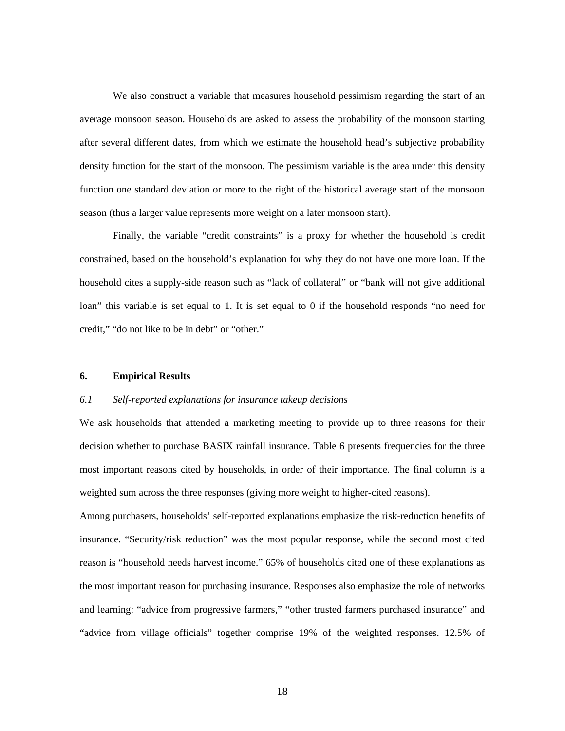We also construct a variable that measures household pessimism regarding the start of an average monsoon season. Households are asked to assess the probability of the monsoon starting after several different dates, from which we estimate the household head's subjective probability density function for the start of the monsoon. The pessimism variable is the area under this density function one standard deviation or more to the right of the historical average start of the monsoon season (thus a larger value represents more weight on a later monsoon start).

 Finally, the variable "credit constraints" is a proxy for whether the household is credit constrained, based on the household's explanation for why they do not have one more loan. If the household cites a supply-side reason such as "lack of collateral" or "bank will not give additional loan" this variable is set equal to 1. It is set equal to 0 if the household responds "no need for credit," "do not like to be in debt" or "other."

#### **6. Empirical Results**

#### *6.1 Self-reported explanations for insurance takeup decisions*

We ask households that attended a marketing meeting to provide up to three reasons for their decision whether to purchase BASIX rainfall insurance. Table 6 presents frequencies for the three most important reasons cited by households, in order of their importance. The final column is a weighted sum across the three responses (giving more weight to higher-cited reasons).

Among purchasers, households' self-reported explanations emphasize the risk-reduction benefits of insurance. "Security/risk reduction" was the most popular response, while the second most cited reason is "household needs harvest income." 65% of households cited one of these explanations as the most important reason for purchasing insurance. Responses also emphasize the role of networks and learning: "advice from progressive farmers," "other trusted farmers purchased insurance" and "advice from village officials" together comprise 19% of the weighted responses. 12.5% of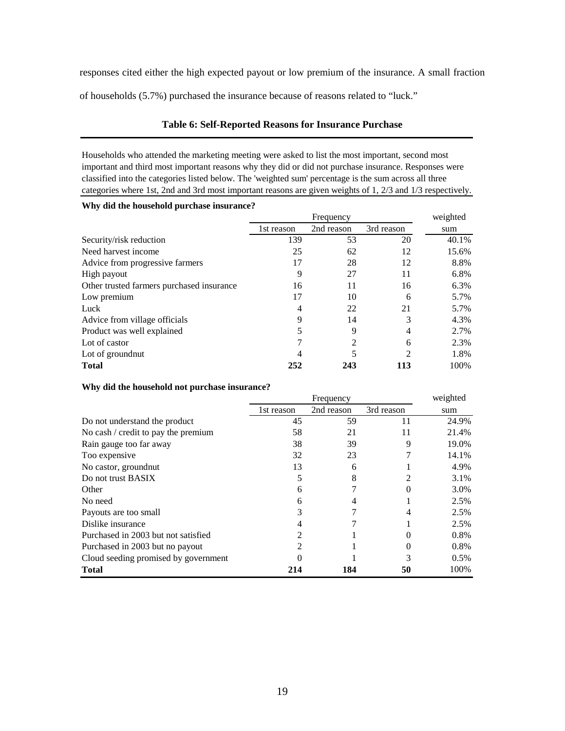responses cited either the high expected payout or low premium of the insurance. A small fraction

of households (5.7%) purchased the insurance because of reasons related to "luck."

#### **Table 6: Self-Reported Reasons for Insurance Purchase**

Households who attended the marketing meeting were asked to list the most important, second most important and third most important reasons why they did or did not purchase insurance. Responses were classified into the categories listed below. The 'weighted sum' percentage is the sum across all three categories where 1st, 2nd and 3rd most important reasons are given weights of 1, 2/3 and 1/3 respectively.

| Why did the household purchase insurance? |  |
|-------------------------------------------|--|
|-------------------------------------------|--|

|                                           |            | weighted   |                |       |
|-------------------------------------------|------------|------------|----------------|-------|
|                                           | 1st reason | 2nd reason | 3rd reason     | sum   |
| Security/risk reduction                   | 139        | 53         | 20             | 40.1% |
| Need harvest income                       | 25         | 62         | 12             | 15.6% |
| Advice from progressive farmers           | 17         | 28         | 12             | 8.8%  |
| High payout                               | 9          | 27         | 11             | 6.8%  |
| Other trusted farmers purchased insurance | 16         | 11         | 16             | 6.3%  |
| Low premium                               | 17         | 10         | 6              | 5.7%  |
| Luck                                      | 4          | 22         | 21             | 5.7%  |
| Advice from village officials             | 9          | 14         | 3              | 4.3%  |
| Product was well explained                |            | 9          | 4              | 2.7%  |
| Lot of castor                             |            | 2          | 6              | 2.3%  |
| Lot of ground nut                         |            |            | $\mathfrak{D}$ | 1.8%  |
| <b>Total</b>                              | 252        | 243        | 113            | 100%  |

#### **Why did the household not purchase insurance?**

|                                            | Frequency  |            |            | weighted |
|--------------------------------------------|------------|------------|------------|----------|
|                                            | 1st reason | 2nd reason | 3rd reason | sum      |
| Do not understand the product              | 45         | 59         | 11         | 24.9%    |
| No cash $\prime$ credit to pay the premium | 58         | 21         | 11         | 21.4%    |
| Rain gauge too far away                    | 38         | 39         | 9          | 19.0%    |
| Too expensive                              | 32         | 23         |            | 14.1%    |
| No castor, ground nut                      | 13         | 6          |            | 4.9%     |
| Do not trust BASIX                         |            | 8          |            | 3.1%     |
| Other                                      | 6          |            |            | 3.0%     |
| No need                                    |            |            |            | 2.5%     |
| Payouts are too small                      |            |            | 4          | 2.5%     |
| Dislike insurance                          |            |            |            | 2.5%     |
| Purchased in 2003 but not satisfied        |            |            |            | 0.8%     |
| Purchased in 2003 but no payout            |            |            |            | 0.8%     |
| Cloud seeding promised by government       |            |            |            | $0.5\%$  |
| <b>Total</b>                               | 214        | 184        | 50         | 100%     |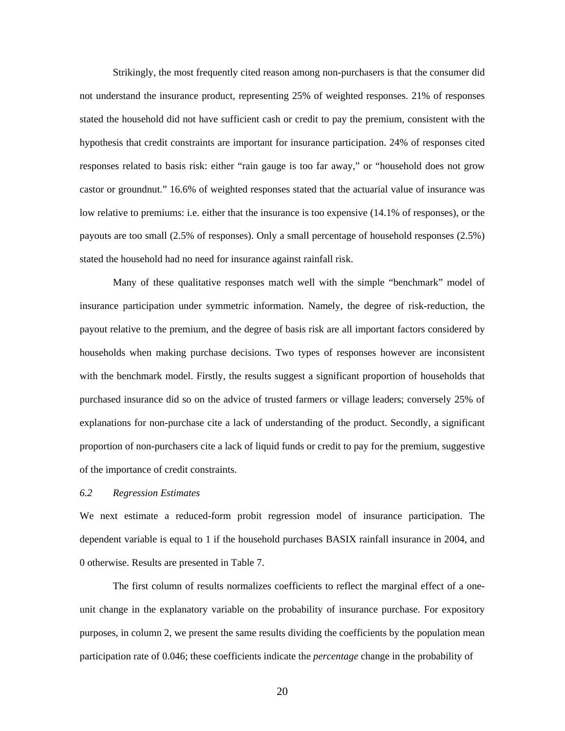Strikingly, the most frequently cited reason among non-purchasers is that the consumer did not understand the insurance product, representing 25% of weighted responses. 21% of responses stated the household did not have sufficient cash or credit to pay the premium, consistent with the hypothesis that credit constraints are important for insurance participation. 24% of responses cited responses related to basis risk: either "rain gauge is too far away," or "household does not grow castor or groundnut." 16.6% of weighted responses stated that the actuarial value of insurance was low relative to premiums: i.e. either that the insurance is too expensive (14.1% of responses), or the payouts are too small (2.5% of responses). Only a small percentage of household responses (2.5%) stated the household had no need for insurance against rainfall risk.

 Many of these qualitative responses match well with the simple "benchmark" model of insurance participation under symmetric information. Namely, the degree of risk-reduction, the payout relative to the premium, and the degree of basis risk are all important factors considered by households when making purchase decisions. Two types of responses however are inconsistent with the benchmark model. Firstly, the results suggest a significant proportion of households that purchased insurance did so on the advice of trusted farmers or village leaders; conversely 25% of explanations for non-purchase cite a lack of understanding of the product. Secondly, a significant proportion of non-purchasers cite a lack of liquid funds or credit to pay for the premium, suggestive of the importance of credit constraints.

#### *6.2 Regression Estimates*

We next estimate a reduced-form probit regression model of insurance participation. The dependent variable is equal to 1 if the household purchases BASIX rainfall insurance in 2004, and 0 otherwise. Results are presented in Table 7.

The first column of results normalizes coefficients to reflect the marginal effect of a oneunit change in the explanatory variable on the probability of insurance purchase. For expository purposes, in column 2, we present the same results dividing the coefficients by the population mean participation rate of 0.046; these coefficients indicate the *percentage* change in the probability of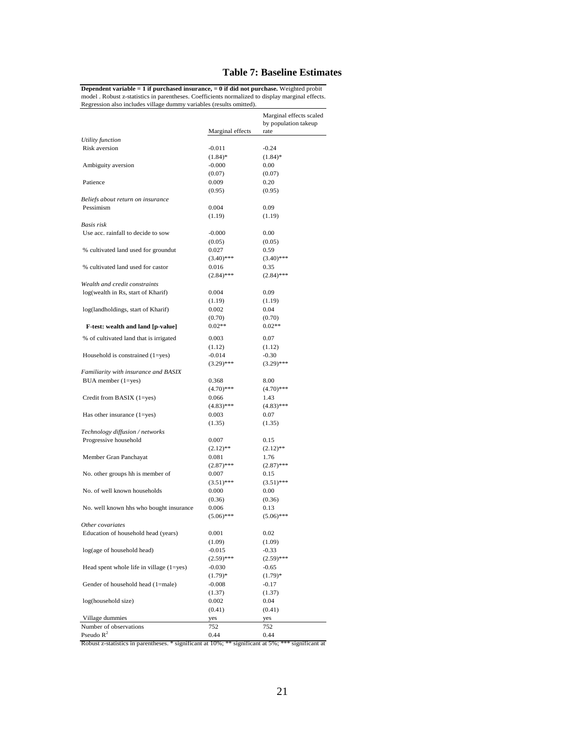#### **Table 7: Baseline Estimates**

**Dependent variable = 1 if purchased insurance, = 0 if did not purchase.** Weighted probit model . Robust z-statistics in parentheses. Coefficients normalized to display marginal effects. Regression also includes village dummy variables (results omitted).

|                                          | Marginal effects | Marginal effects scaled<br>by population takeup<br>rate |
|------------------------------------------|------------------|---------------------------------------------------------|
| Utility function                         |                  |                                                         |
| Risk aversion                            | $-0.011$         | $-0.24$                                                 |
|                                          | $(1.84)$ *       | $(1.84)$ *                                              |
| Ambiguity aversion                       | $-0.000$         | 0.00                                                    |
|                                          | (0.07)           | (0.07)                                                  |
| Patience                                 | 0.009            | 0.20                                                    |
|                                          | (0.95)           | (0.95)                                                  |
| Beliefs about return on insurance        |                  |                                                         |
| Pessimism                                | 0.004            | 0.09                                                    |
|                                          | (1.19)           | (1.19)                                                  |
| Basis risk                               |                  |                                                         |
| Use acc. rainfall to decide to sow       | $-0.000$         | 0.00                                                    |
|                                          | (0.05)           | (0.05)                                                  |
| % cultivated land used for groundut      | 0.027            | 0.59                                                    |
|                                          | $(3.40)$ ***     | $(3.40)$ ***                                            |
| % cultivated land used for castor        | 0.016            | 0.35                                                    |
|                                          | $(2.84)$ ***     | $(2.84)$ ***                                            |
| Wealth and credit constraints            |                  |                                                         |
| log(wealth in Rs, start of Kharif)       | 0.004            | 0.09                                                    |
|                                          | (1.19)           | (1.19)                                                  |
| log(landholdings, start of Kharif)       | 0.002            | 0.04                                                    |
|                                          | (0.70)           | (0.70)                                                  |
| F-test: wealth and land [p-value]        | $0.02**$         | $0.02**$                                                |
| % of cultivated land that is irrigated   | 0.003            | 0.07                                                    |
|                                          | (1.12)           | (1.12)                                                  |
| Household is constrained (1=yes)         | $-0.014$         | $-0.30$                                                 |
|                                          | $(3.29)$ ***     | $(3.29)$ ***                                            |
| Familiarity with insurance and BASIX     |                  |                                                         |
| $BUA$ member $(1 = yes)$                 | 0.368            | 8.00                                                    |
|                                          | $(4.70)$ ***     | $(4.70)$ ***                                            |
| Credit from BASIX (1=yes)                | 0.066            | 1.43                                                    |
|                                          | $(4.83)$ ***     | $(4.83)$ ***                                            |
| Has other insurance $(1 = yes)$          | 0.003            | 0.07                                                    |
|                                          | (1.35)           | (1.35)                                                  |
| Technology diffusion / networks          |                  |                                                         |
| Progressive household                    | 0.007            | 0.15                                                    |
|                                          | $(2.12)$ **      | $(2.12)$ **                                             |
| Member Gran Panchayat                    | 0.081            | 1.76                                                    |
|                                          | $(2.87)$ ***     | $(2.87)$ ***                                            |
| No. other groups hh is member of         | 0.007            | 0.15                                                    |
|                                          | $(3.51)$ ***     | $(3.51)$ ***                                            |
| No. of well known households             | 0.000            | 0.00                                                    |
|                                          | (0.36)           | (0.36)                                                  |
| No. well known hhs who bought insurance  | 0.006            | 0.13                                                    |
|                                          | $(5.06)$ ***     | $(5.06)$ ***                                            |
| Other covariates                         |                  |                                                         |
| Education of household head (years)      | 0.001            | 0.02                                                    |
|                                          | (1.09)           | (1.09)                                                  |
| log(age of household head)               | $-0.015$         | $-0.33$                                                 |
|                                          | $(2.59)$ ***     | $(2.59)$ ***                                            |
| Head spent whole life in village (1=yes) | $-0.030$         | $-0.65$                                                 |
|                                          | $(1.79)*$        | $(1.79)*$                                               |
| Gender of household head (1=male)        | $-0.008$         | $-0.17$                                                 |
|                                          | (1.37)           | (1.37)                                                  |
| log(household size)                      | 0.002            | 0.04                                                    |
|                                          | (0.41)           | (0.41)                                                  |
| Village dummies                          | yes              | yes                                                     |
| Number of observations                   | 752              | 752                                                     |
| Pseudo $R^2$                             | 0.44             | 0.44                                                    |

Robust z-statistics in parentheses. \* significant at 10%; \*\* significant at 5%; \*\*\* significant at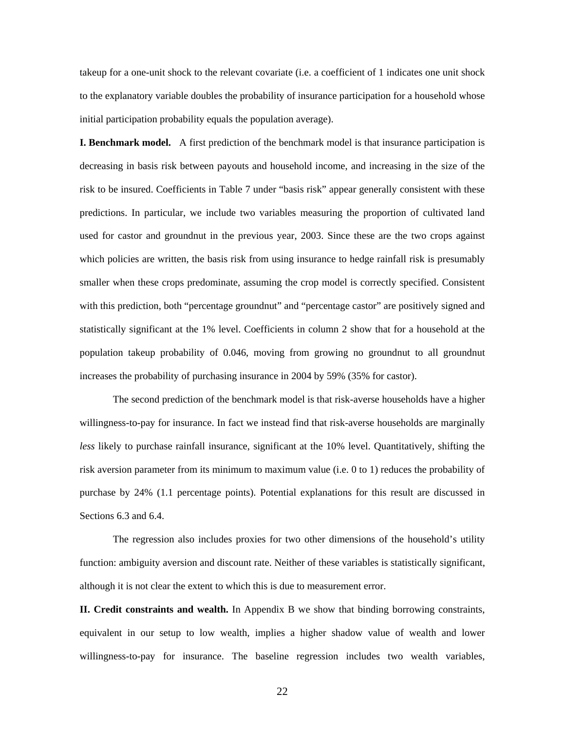takeup for a one-unit shock to the relevant covariate (i.e. a coefficient of 1 indicates one unit shock to the explanatory variable doubles the probability of insurance participation for a household whose initial participation probability equals the population average).

**I. Benchmark model.** A first prediction of the benchmark model is that insurance participation is decreasing in basis risk between payouts and household income, and increasing in the size of the risk to be insured. Coefficients in Table 7 under "basis risk" appear generally consistent with these predictions. In particular, we include two variables measuring the proportion of cultivated land used for castor and groundnut in the previous year, 2003. Since these are the two crops against which policies are written, the basis risk from using insurance to hedge rainfall risk is presumably smaller when these crops predominate, assuming the crop model is correctly specified. Consistent with this prediction, both "percentage groundnut" and "percentage castor" are positively signed and statistically significant at the 1% level. Coefficients in column 2 show that for a household at the population takeup probability of 0.046, moving from growing no groundnut to all groundnut increases the probability of purchasing insurance in 2004 by 59% (35% for castor).

The second prediction of the benchmark model is that risk-averse households have a higher willingness-to-pay for insurance. In fact we instead find that risk-averse households are marginally *less* likely to purchase rainfall insurance, significant at the 10% level. Quantitatively, shifting the risk aversion parameter from its minimum to maximum value (i.e. 0 to 1) reduces the probability of purchase by 24% (1.1 percentage points). Potential explanations for this result are discussed in Sections 6.3 and 6.4.

The regression also includes proxies for two other dimensions of the household's utility function: ambiguity aversion and discount rate. Neither of these variables is statistically significant, although it is not clear the extent to which this is due to measurement error.

**II. Credit constraints and wealth.** In Appendix B we show that binding borrowing constraints, equivalent in our setup to low wealth, implies a higher shadow value of wealth and lower willingness-to-pay for insurance. The baseline regression includes two wealth variables,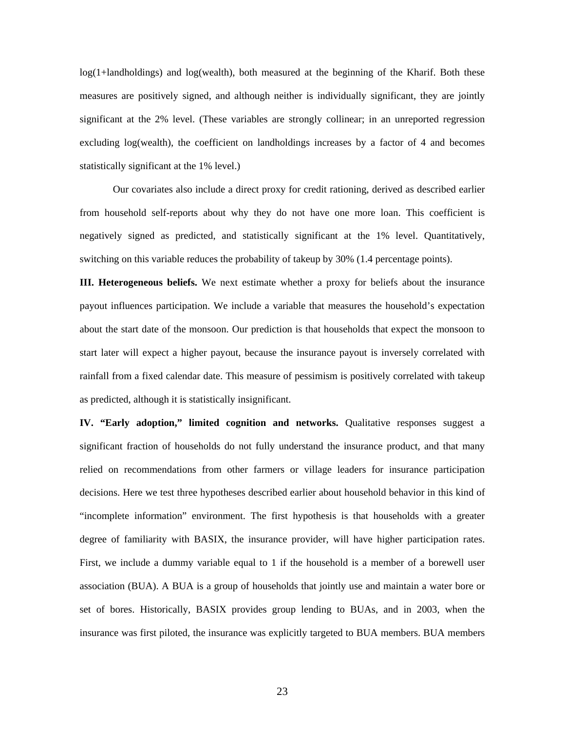log(1+landholdings) and log(wealth), both measured at the beginning of the Kharif. Both these measures are positively signed, and although neither is individually significant, they are jointly significant at the 2% level. (These variables are strongly collinear; in an unreported regression excluding log(wealth), the coefficient on landholdings increases by a factor of 4 and becomes statistically significant at the 1% level.)

Our covariates also include a direct proxy for credit rationing, derived as described earlier from household self-reports about why they do not have one more loan. This coefficient is negatively signed as predicted, and statistically significant at the 1% level. Quantitatively, switching on this variable reduces the probability of takeup by 30% (1.4 percentage points).

**III. Heterogeneous beliefs.** We next estimate whether a proxy for beliefs about the insurance payout influences participation. We include a variable that measures the household's expectation about the start date of the monsoon. Our prediction is that households that expect the monsoon to start later will expect a higher payout, because the insurance payout is inversely correlated with rainfall from a fixed calendar date. This measure of pessimism is positively correlated with takeup as predicted, although it is statistically insignificant.

**IV. "Early adoption," limited cognition and networks.** Qualitative responses suggest a significant fraction of households do not fully understand the insurance product, and that many relied on recommendations from other farmers or village leaders for insurance participation decisions. Here we test three hypotheses described earlier about household behavior in this kind of "incomplete information" environment. The first hypothesis is that households with a greater degree of familiarity with BASIX, the insurance provider, will have higher participation rates. First, we include a dummy variable equal to 1 if the household is a member of a borewell user association (BUA). A BUA is a group of households that jointly use and maintain a water bore or set of bores. Historically, BASIX provides group lending to BUAs, and in 2003, when the insurance was first piloted, the insurance was explicitly targeted to BUA members. BUA members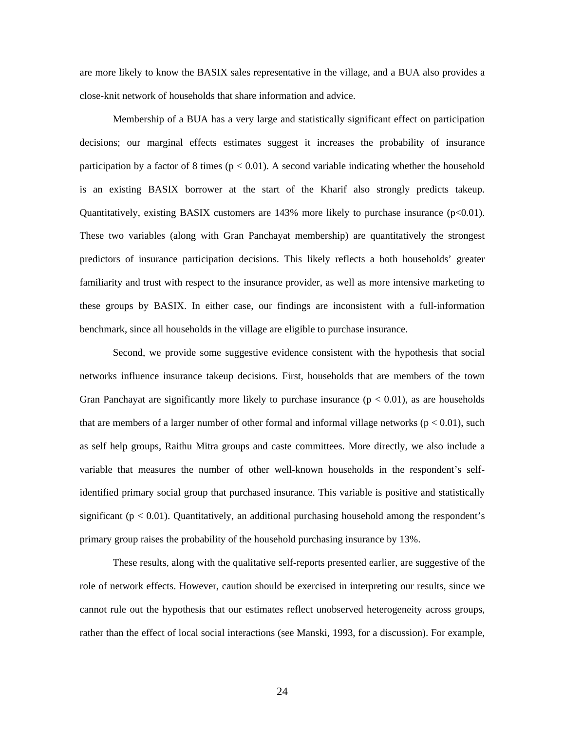are more likely to know the BASIX sales representative in the village, and a BUA also provides a close-knit network of households that share information and advice.

 Membership of a BUA has a very large and statistically significant effect on participation decisions; our marginal effects estimates suggest it increases the probability of insurance participation by a factor of 8 times ( $p < 0.01$ ). A second variable indicating whether the household is an existing BASIX borrower at the start of the Kharif also strongly predicts takeup. Quantitatively, existing BASIX customers are 143% more likely to purchase insurance (p<0.01). These two variables (along with Gran Panchayat membership) are quantitatively the strongest predictors of insurance participation decisions. This likely reflects a both households' greater familiarity and trust with respect to the insurance provider, as well as more intensive marketing to these groups by BASIX. In either case, our findings are inconsistent with a full-information benchmark, since all households in the village are eligible to purchase insurance.

 Second, we provide some suggestive evidence consistent with the hypothesis that social networks influence insurance takeup decisions. First, households that are members of the town Gran Panchayat are significantly more likely to purchase insurance  $(p < 0.01)$ , as are households that are members of a larger number of other formal and informal village networks ( $p < 0.01$ ), such as self help groups, Raithu Mitra groups and caste committees. More directly, we also include a variable that measures the number of other well-known households in the respondent's selfidentified primary social group that purchased insurance. This variable is positive and statistically significant ( $p < 0.01$ ). Quantitatively, an additional purchasing household among the respondent's primary group raises the probability of the household purchasing insurance by 13%.

 These results, along with the qualitative self-reports presented earlier, are suggestive of the role of network effects. However, caution should be exercised in interpreting our results, since we cannot rule out the hypothesis that our estimates reflect unobserved heterogeneity across groups, rather than the effect of local social interactions (see Manski, 1993, for a discussion). For example,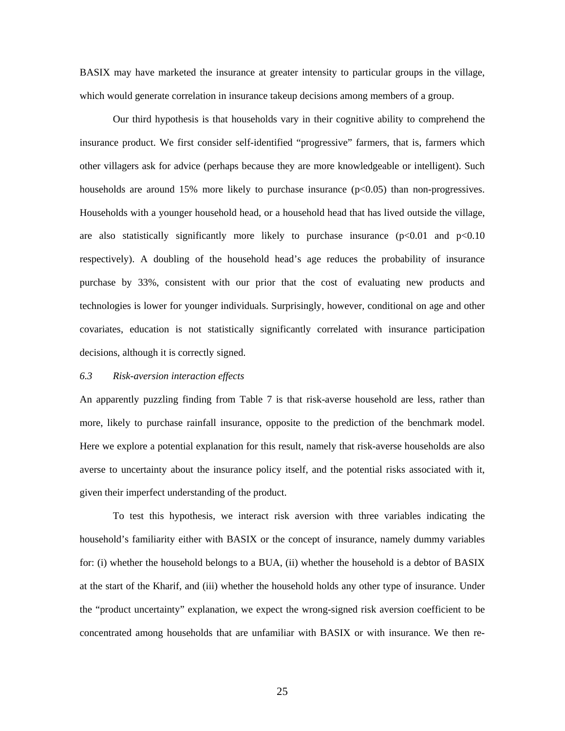BASIX may have marketed the insurance at greater intensity to particular groups in the village, which would generate correlation in insurance takeup decisions among members of a group.

 Our third hypothesis is that households vary in their cognitive ability to comprehend the insurance product. We first consider self-identified "progressive" farmers, that is, farmers which other villagers ask for advice (perhaps because they are more knowledgeable or intelligent). Such households are around 15% more likely to purchase insurance  $(p<0.05)$  than non-progressives. Households with a younger household head, or a household head that has lived outside the village, are also statistically significantly more likely to purchase insurance  $(p<0.01$  and  $p<0.10$ respectively). A doubling of the household head's age reduces the probability of insurance purchase by 33%, consistent with our prior that the cost of evaluating new products and technologies is lower for younger individuals. Surprisingly, however, conditional on age and other covariates, education is not statistically significantly correlated with insurance participation decisions, although it is correctly signed.

#### *6.3 Risk-aversion interaction effects*

An apparently puzzling finding from Table 7 is that risk-averse household are less, rather than more, likely to purchase rainfall insurance, opposite to the prediction of the benchmark model. Here we explore a potential explanation for this result, namely that risk-averse households are also averse to uncertainty about the insurance policy itself, and the potential risks associated with it, given their imperfect understanding of the product.

To test this hypothesis, we interact risk aversion with three variables indicating the household's familiarity either with BASIX or the concept of insurance, namely dummy variables for: (i) whether the household belongs to a BUA, (ii) whether the household is a debtor of BASIX at the start of the Kharif, and (iii) whether the household holds any other type of insurance. Under the "product uncertainty" explanation, we expect the wrong-signed risk aversion coefficient to be concentrated among households that are unfamiliar with BASIX or with insurance. We then re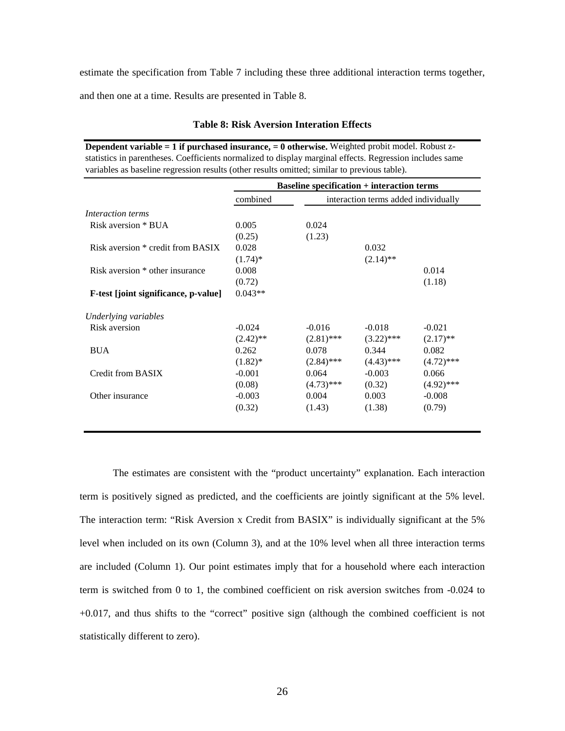estimate the specification from Table 7 including these three additional interaction terms together,

and then one at a time. Results are presented in Table 8.

|                                      | <b>Baseline specification + interaction terms</b> |                                      |              |              |  |  |  |
|--------------------------------------|---------------------------------------------------|--------------------------------------|--------------|--------------|--|--|--|
|                                      | combined                                          | interaction terms added individually |              |              |  |  |  |
| Interaction terms                    |                                                   |                                      |              |              |  |  |  |
| Risk aversion * BUA                  | 0.005                                             | 0.024                                |              |              |  |  |  |
|                                      | (0.25)                                            | (1.23)                               |              |              |  |  |  |
| Risk aversion * credit from BASIX    | 0.028                                             |                                      | 0.032        |              |  |  |  |
|                                      | $(1.74)$ *                                        |                                      | $(2.14)$ **  |              |  |  |  |
| Risk aversion * other insurance      | 0.008                                             |                                      |              | 0.014        |  |  |  |
|                                      | (0.72)                                            |                                      |              | (1.18)       |  |  |  |
| F-test [joint significance, p-value] | $0.043**$                                         |                                      |              |              |  |  |  |
| Underlying variables                 |                                                   |                                      |              |              |  |  |  |
| Risk aversion                        | $-0.024$                                          | $-0.016$                             | $-0.018$     | $-0.021$     |  |  |  |
|                                      | $(2.42)$ **                                       | $(2.81)$ ***                         | $(3.22)$ *** | $(2.17)$ **  |  |  |  |
| <b>BUA</b>                           | 0.262                                             | 0.078                                | 0.344        | 0.082        |  |  |  |
|                                      | $(1.82)^*$                                        | $(2.84)$ ***                         | $(4.43)$ *** | $(4.72)$ *** |  |  |  |
| Credit from BASIX                    | $-0.001$                                          | 0.064                                | $-0.003$     | 0.066        |  |  |  |
|                                      | (0.08)                                            | $(4.73)$ ***                         | (0.32)       | $(4.92)$ *** |  |  |  |
| Other insurance                      | $-0.003$                                          | 0.004                                | 0.003        | $-0.008$     |  |  |  |
|                                      | (0.32)                                            | (1.43)                               | (1.38)       | (0.79)       |  |  |  |

**Table 8: Risk Aversion Interation Effects** 

**Dependent variable = 1 if purchased insurance, = 0 otherwise.** Weighted probit model. Robust z-

The estimates are consistent with the "product uncertainty" explanation. Each interaction term is positively signed as predicted, and the coefficients are jointly significant at the 5% level. The interaction term: "Risk Aversion x Credit from BASIX" is individually significant at the 5% level when included on its own (Column 3), and at the 10% level when all three interaction terms are included (Column 1). Our point estimates imply that for a household where each interaction term is switched from 0 to 1, the combined coefficient on risk aversion switches from -0.024 to +0.017, and thus shifts to the "correct" positive sign (although the combined coefficient is not statistically different to zero).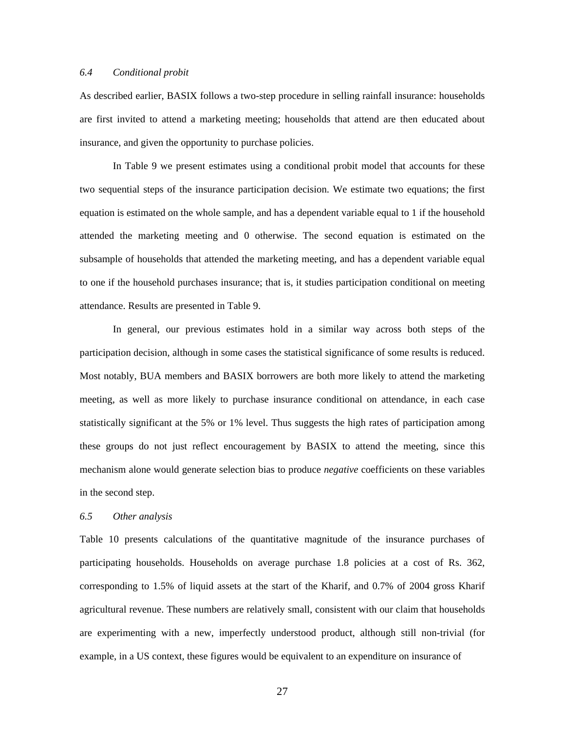#### *6.4 Conditional probit*

As described earlier, BASIX follows a two-step procedure in selling rainfall insurance: households are first invited to attend a marketing meeting; households that attend are then educated about insurance, and given the opportunity to purchase policies.

In Table 9 we present estimates using a conditional probit model that accounts for these two sequential steps of the insurance participation decision. We estimate two equations; the first equation is estimated on the whole sample, and has a dependent variable equal to 1 if the household attended the marketing meeting and 0 otherwise. The second equation is estimated on the subsample of households that attended the marketing meeting, and has a dependent variable equal to one if the household purchases insurance; that is, it studies participation conditional on meeting attendance. Results are presented in Table 9.

In general, our previous estimates hold in a similar way across both steps of the participation decision, although in some cases the statistical significance of some results is reduced. Most notably, BUA members and BASIX borrowers are both more likely to attend the marketing meeting, as well as more likely to purchase insurance conditional on attendance, in each case statistically significant at the 5% or 1% level. Thus suggests the high rates of participation among these groups do not just reflect encouragement by BASIX to attend the meeting, since this mechanism alone would generate selection bias to produce *negative* coefficients on these variables in the second step.

#### *6.5 Other analysis*

Table 10 presents calculations of the quantitative magnitude of the insurance purchases of participating households. Households on average purchase 1.8 policies at a cost of Rs. 362, corresponding to 1.5% of liquid assets at the start of the Kharif, and 0.7% of 2004 gross Kharif agricultural revenue. These numbers are relatively small, consistent with our claim that households are experimenting with a new, imperfectly understood product, although still non-trivial (for example, in a US context, these figures would be equivalent to an expenditure on insurance of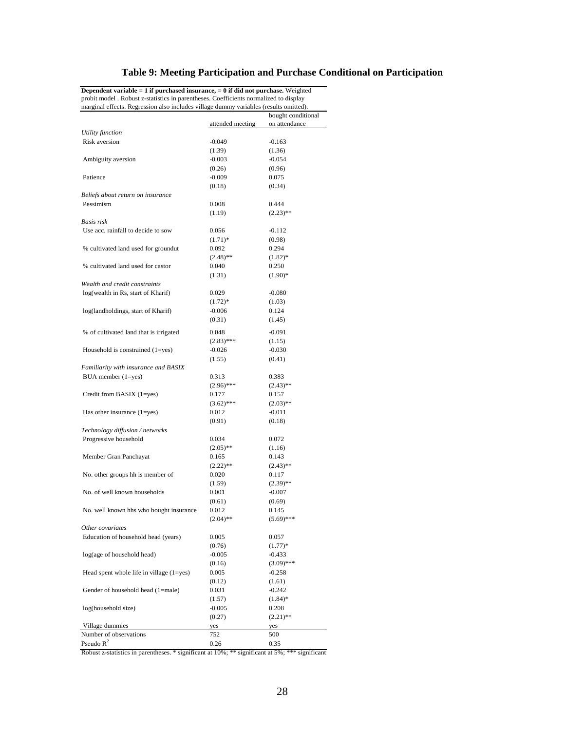## **Table 9: Meeting Participation and Purchase Conditional on Participation**

| marginal effects. Regression also includes village dummy variables (results omitted). |                  |                    |
|---------------------------------------------------------------------------------------|------------------|--------------------|
|                                                                                       |                  | bought conditional |
|                                                                                       | attended meeting | on attendance      |
| Utility function                                                                      |                  |                    |
| Risk aversion                                                                         | -0.049           | $-0.163$           |
|                                                                                       | (1.39)           | (1.36)             |
| Ambiguity aversion                                                                    | $-0.003$         | $-0.054$           |
|                                                                                       | (0.26)           | (0.96)             |
| Patience                                                                              | $-0.009$         | 0.075              |
|                                                                                       | (0.18)           | (0.34)             |
| Beliefs about return on insurance                                                     |                  |                    |
| Pessimism                                                                             | 0.008            | 0.444              |
|                                                                                       | (1.19)           | $(2.23)$ **        |
| Basis risk                                                                            |                  |                    |
| Use acc. rainfall to decide to sow                                                    | 0.056            | $-0.112$           |
|                                                                                       | $(1.71)^*$       | (0.98)             |
| % cultivated land used for groundut                                                   | 0.092            | 0.294              |
|                                                                                       | $(2.48)$ **      | $(1.82)^*$         |
| % cultivated land used for castor                                                     | 0.040            | 0.250              |
|                                                                                       | (1.31)           | $(1.90)$ *         |
| Wealth and credit constraints                                                         |                  |                    |
| log(wealth in Rs, start of Kharif)                                                    | 0.029            | $-0.080$           |
|                                                                                       | $(1.72)^*$       | (1.03)             |
| log(landholdings, start of Kharif)                                                    | $-0.006$         | 0.124              |
|                                                                                       | (0.31)           | (1.45)             |
|                                                                                       |                  |                    |
| % of cultivated land that is irrigated                                                | 0.048            | $-0.091$           |
|                                                                                       | $(2.83)$ ***     | (1.15)             |
| Household is constrained $(1 = yes)$                                                  | $-0.026$         | $-0.030$           |
|                                                                                       | (1.55)           | (0.41)             |
| Familiarity with insurance and BASIX                                                  |                  |                    |
| $BUA$ member $(1 = yes)$                                                              | 0.313            | 0.383              |
|                                                                                       | $(2.96)$ ***     | $(2.43)$ **        |
| Credit from BASIX (1=yes)                                                             | 0.177            | 0.157              |
|                                                                                       | $(3.62)$ ***     | $(2.03)$ **        |
| Has other insurance $(1 = yes)$                                                       | 0.012            | $-0.011$           |
|                                                                                       | (0.91)           | (0.18)             |
| Technology diffusion / networks                                                       |                  |                    |
| Progressive household                                                                 | 0.034            | 0.072              |
|                                                                                       | $(2.05)$ **      | (1.16)             |
| Member Gran Panchayat                                                                 | 0.165            | 0.143              |
|                                                                                       | $(2.22)$ **      | $(2.43)$ **        |
| No. other groups hh is member of                                                      | 0.020            | 0.117              |
|                                                                                       | (1.59)           | $(2.39)$ **        |
| No. of well known households                                                          | 0.001            | $-0.007$           |
|                                                                                       | (0.61)           | (0.69)             |
| No. well known hhs who bought insurance                                               | 0.012            | 0.145              |
|                                                                                       | $(2.04)$ **      | $(5.69)$ ***       |
| Other covariates                                                                      |                  |                    |
| Education of household head (years)                                                   | 0.005            | 0.057              |
|                                                                                       | (0.76)           | $(1.77)*$          |
| log(age of household head)                                                            | $-0.005$         | $-0.433$           |
|                                                                                       | (0.16)           | $(3.09)$ ***       |
| Head spent whole life in village $(1 = yes)$                                          | 0.005            | $-0.258$           |
|                                                                                       | (0.12)           | (1.61)             |
| Gender of household head (1=male)                                                     | 0.031            | $-0.242$           |
|                                                                                       | (1.57)           | $(1.84)$ *         |
| log(household size)                                                                   | $-0.005$         | 0.208              |
|                                                                                       | (0.27)           | $(2.21)$ **        |
| Village dummies                                                                       | yes              | yes                |
| Number of observations                                                                | 752              | 500                |
| Pseudo $R^2$                                                                          | 0.26             | 0.35               |

**Dependent variable = 1 if purchased insurance, = 0 if did not purchase.** Weighted probit model . Robust z-statistics in parentheses. Coefficients normalized to display

Robust z-statistics in parentheses. \* significant at 10%; \*\* significant at 5%; \*\*\* significant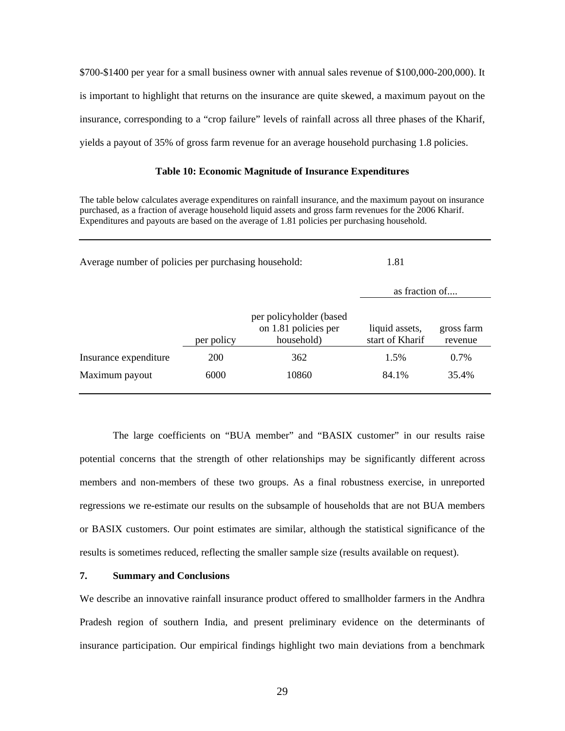\$700-\$1400 per year for a small business owner with annual sales revenue of \$100,000-200,000). It is important to highlight that returns on the insurance are quite skewed, a maximum payout on the insurance, corresponding to a "crop failure" levels of rainfall across all three phases of the Kharif, yields a payout of 35% of gross farm revenue for an average household purchasing 1.8 policies.

#### **Table 10: Economic Magnitude of Insurance Expenditures**

The table below calculates average expenditures on rainfall insurance, and the maximum payout on insurance purchased, as a fraction of average household liquid assets and gross farm revenues for the 2006 Kharif. Expenditures and payouts are based on the average of 1.81 policies per purchasing household.

| Average number of policies per purchasing household: | 1.81       |                                                                |                                   |                       |
|------------------------------------------------------|------------|----------------------------------------------------------------|-----------------------------------|-----------------------|
|                                                      |            |                                                                | as fraction of                    |                       |
|                                                      | per policy | per policyholder (based)<br>on 1.81 policies per<br>household) | liquid assets,<br>start of Kharif | gross farm<br>revenue |
| Insurance expenditure                                | <b>200</b> | 362                                                            | 1.5%                              | $0.7\%$               |
| Maximum payout                                       | 6000       | 10860                                                          | 84.1%                             | 35.4%                 |

The large coefficients on "BUA member" and "BASIX customer" in our results raise potential concerns that the strength of other relationships may be significantly different across members and non-members of these two groups. As a final robustness exercise, in unreported regressions we re-estimate our results on the subsample of households that are not BUA members or BASIX customers. Our point estimates are similar, although the statistical significance of the results is sometimes reduced, reflecting the smaller sample size (results available on request).

#### **7. Summary and Conclusions**

We describe an innovative rainfall insurance product offered to smallholder farmers in the Andhra Pradesh region of southern India, and present preliminary evidence on the determinants of insurance participation. Our empirical findings highlight two main deviations from a benchmark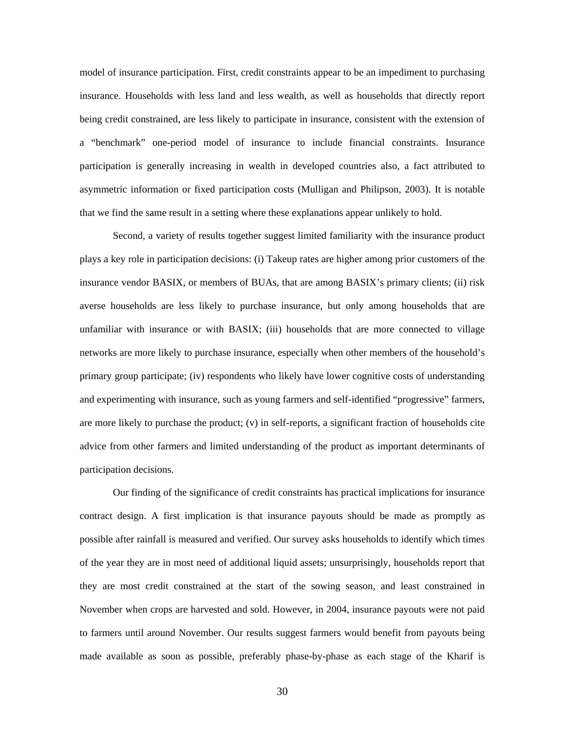model of insurance participation. First, credit constraints appear to be an impediment to purchasing insurance. Households with less land and less wealth, as well as households that directly report being credit constrained, are less likely to participate in insurance, consistent with the extension of a "benchmark" one-period model of insurance to include financial constraints. Insurance participation is generally increasing in wealth in developed countries also, a fact attributed to asymmetric information or fixed participation costs (Mulligan and Philipson, 2003). It is notable that we find the same result in a setting where these explanations appear unlikely to hold.

Second, a variety of results together suggest limited familiarity with the insurance product plays a key role in participation decisions: (i) Takeup rates are higher among prior customers of the insurance vendor BASIX, or members of BUAs, that are among BASIX's primary clients; (ii) risk averse households are less likely to purchase insurance, but only among households that are unfamiliar with insurance or with BASIX; (iii) households that are more connected to village networks are more likely to purchase insurance, especially when other members of the household's primary group participate; (iv) respondents who likely have lower cognitive costs of understanding and experimenting with insurance, such as young farmers and self-identified "progressive" farmers, are more likely to purchase the product; (v) in self-reports, a significant fraction of households cite advice from other farmers and limited understanding of the product as important determinants of participation decisions.

 Our finding of the significance of credit constraints has practical implications for insurance contract design. A first implication is that insurance payouts should be made as promptly as possible after rainfall is measured and verified. Our survey asks households to identify which times of the year they are in most need of additional liquid assets; unsurprisingly, households report that they are most credit constrained at the start of the sowing season, and least constrained in November when crops are harvested and sold. However, in 2004, insurance payouts were not paid to farmers until around November. Our results suggest farmers would benefit from payouts being made available as soon as possible, preferably phase-by-phase as each stage of the Kharif is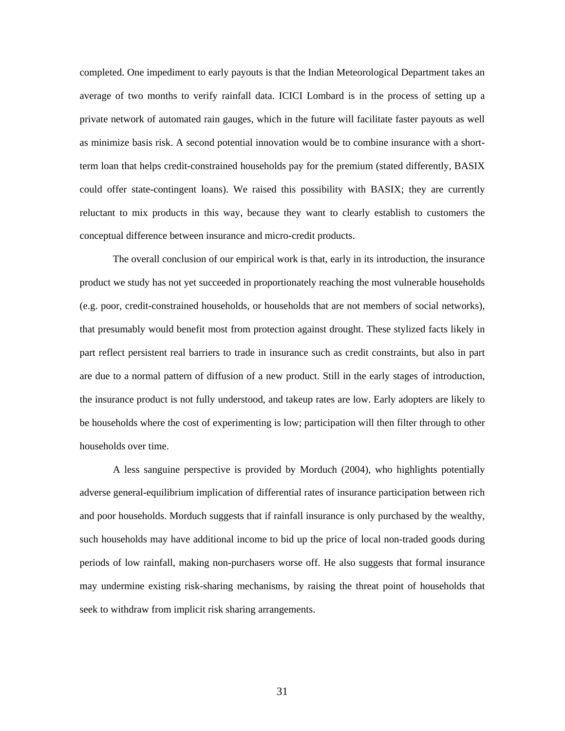completed. One impediment to early payouts is that the Indian Meteorological Department takes an average of two months to verify rainfall data. ICICI Lombard is in the process of setting up a private network of automated rain gauges, which in the future will facilitate faster payouts as well as minimize basis risk. A second potential innovation would be to combine insurance with a shortterm loan that helps credit-constrained households pay for the premium (stated differently, BASIX could offer state-contingent loans). We raised this possibility with BASIX; they are currently reluctant to mix products in this way, because they want to clearly establish to customers the conceptual difference between insurance and micro-credit products.

The overall conclusion of our empirical work is that, early in its introduction, the insurance product we study has not yet succeeded in proportionately reaching the most vulnerable households (e.g. poor, credit-constrained households, or households that are not members of social networks), that presumably would benefit most from protection against drought. These stylized facts likely in part reflect persistent real barriers to trade in insurance such as credit constraints, but also in part are due to a normal pattern of diffusion of a new product. Still in the early stages of introduction, the insurance product is not fully understood, and takeup rates are low. Early adopters are likely to be households where the cost of experimenting is low; participation will then filter through to other households over time.

A less sanguine perspective is provided by Morduch (2004), who highlights potentially adverse general-equilibrium implication of differential rates of insurance participation between rich and poor households. Morduch suggests that if rainfall insurance is only purchased by the wealthy, such households may have additional income to bid up the price of local non-traded goods during periods of low rainfall, making non-purchasers worse off. He also suggests that formal insurance may undermine existing risk-sharing mechanisms, by raising the threat point of households that seek to withdraw from implicit risk sharing arrangements.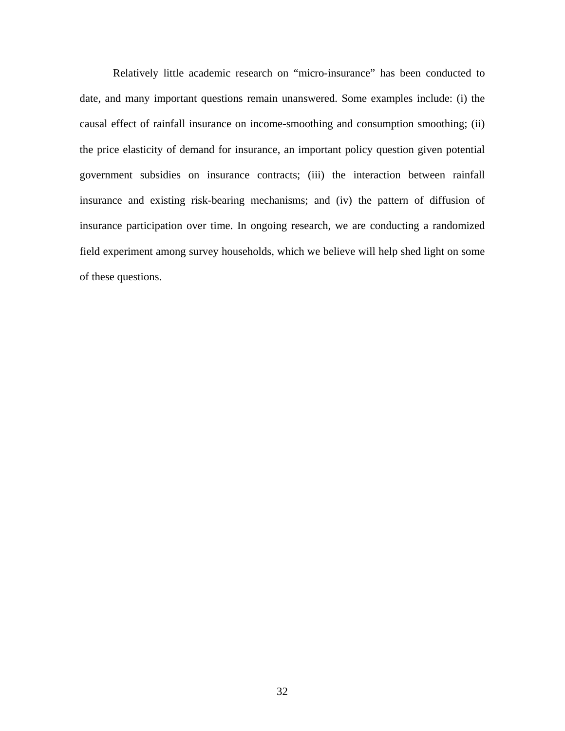Relatively little academic research on "micro-insurance" has been conducted to date, and many important questions remain unanswered. Some examples include: (i) the causal effect of rainfall insurance on income-smoothing and consumption smoothing; (ii) the price elasticity of demand for insurance, an important policy question given potential government subsidies on insurance contracts; (iii) the interaction between rainfall insurance and existing risk-bearing mechanisms; and (iv) the pattern of diffusion of insurance participation over time. In ongoing research, we are conducting a randomized field experiment among survey households, which we believe will help shed light on some of these questions.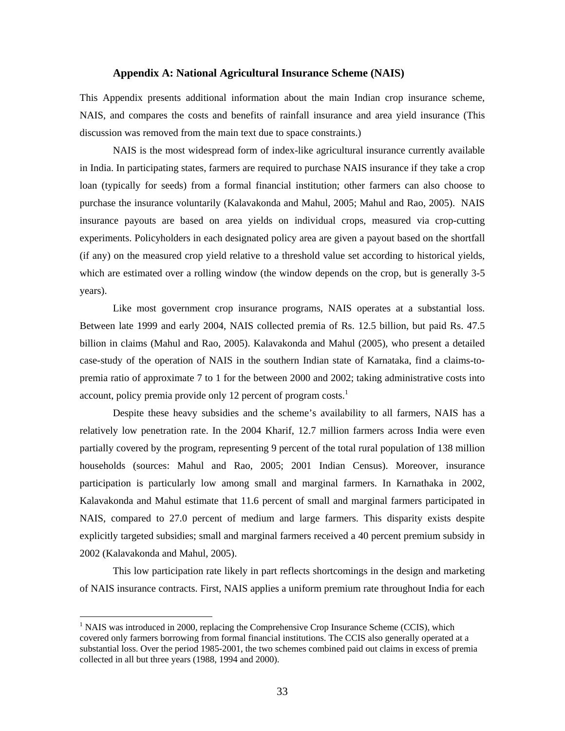#### **Appendix A: National Agricultural Insurance Scheme (NAIS)**

This Appendix presents additional information about the main Indian crop insurance scheme, NAIS, and compares the costs and benefits of rainfall insurance and area yield insurance (This discussion was removed from the main text due to space constraints.)

NAIS is the most widespread form of index-like agricultural insurance currently available in India. In participating states, farmers are required to purchase NAIS insurance if they take a crop loan (typically for seeds) from a formal financial institution; other farmers can also choose to purchase the insurance voluntarily (Kalavakonda and Mahul, 2005; Mahul and Rao, 2005). NAIS insurance payouts are based on area yields on individual crops, measured via crop-cutting experiments. Policyholders in each designated policy area are given a payout based on the shortfall (if any) on the measured crop yield relative to a threshold value set according to historical yields, which are estimated over a rolling window (the window depends on the crop, but is generally 3-5 years).

Like most government crop insurance programs, NAIS operates at a substantial loss. Between late 1999 and early 2004, NAIS collected premia of Rs. 12.5 billion, but paid Rs. 47.5 billion in claims (Mahul and Rao, 2005). Kalavakonda and Mahul (2005), who present a detailed case-study of the operation of NAIS in the southern Indian state of Karnataka, find a claims-topremia ratio of approximate 7 to 1 for the between 2000 and 2002; taking administrative costs into account, policy premia provide only 12 percent of program costs.<sup>1</sup>

Despite these heavy subsidies and the scheme's availability to all farmers, NAIS has a relatively low penetration rate. In the 2004 Kharif, 12.7 million farmers across India were even partially covered by the program, representing 9 percent of the total rural population of 138 million households (sources: Mahul and Rao, 2005; 2001 Indian Census). Moreover, insurance participation is particularly low among small and marginal farmers. In Karnathaka in 2002, Kalavakonda and Mahul estimate that 11.6 percent of small and marginal farmers participated in NAIS, compared to 27.0 percent of medium and large farmers. This disparity exists despite explicitly targeted subsidies; small and marginal farmers received a 40 percent premium subsidy in 2002 (Kalavakonda and Mahul, 2005).

This low participation rate likely in part reflects shortcomings in the design and marketing of NAIS insurance contracts. First, NAIS applies a uniform premium rate throughout India for each

 $\overline{a}$ 

 $<sup>1</sup>$  NAIS was introduced in 2000, replacing the Comprehensive Crop Insurance Scheme (CCIS), which</sup> covered only farmers borrowing from formal financial institutions. The CCIS also generally operated at a substantial loss. Over the period 1985-2001, the two schemes combined paid out claims in excess of premia collected in all but three years (1988, 1994 and 2000).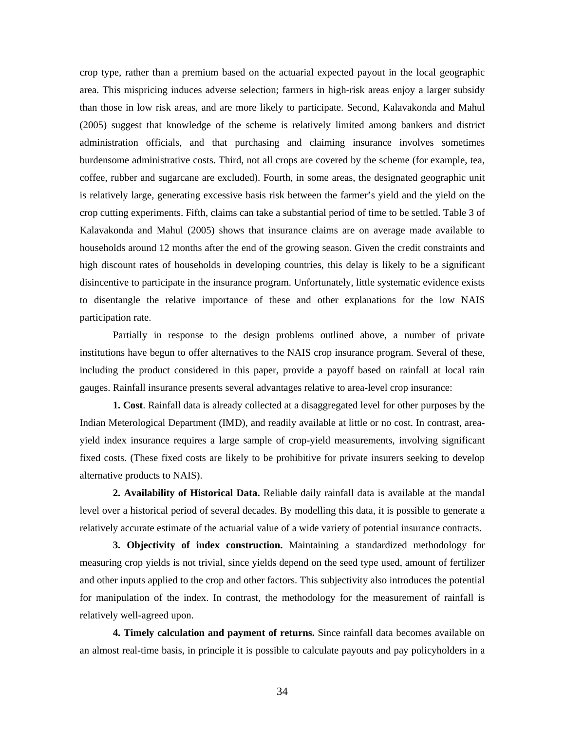crop type, rather than a premium based on the actuarial expected payout in the local geographic area. This mispricing induces adverse selection; farmers in high-risk areas enjoy a larger subsidy than those in low risk areas, and are more likely to participate. Second, Kalavakonda and Mahul (2005) suggest that knowledge of the scheme is relatively limited among bankers and district administration officials, and that purchasing and claiming insurance involves sometimes burdensome administrative costs. Third, not all crops are covered by the scheme (for example, tea, coffee, rubber and sugarcane are excluded). Fourth, in some areas, the designated geographic unit is relatively large, generating excessive basis risk between the farmer's yield and the yield on the crop cutting experiments. Fifth, claims can take a substantial period of time to be settled. Table 3 of Kalavakonda and Mahul (2005) shows that insurance claims are on average made available to households around 12 months after the end of the growing season. Given the credit constraints and high discount rates of households in developing countries, this delay is likely to be a significant disincentive to participate in the insurance program. Unfortunately, little systematic evidence exists to disentangle the relative importance of these and other explanations for the low NAIS participation rate.

Partially in response to the design problems outlined above, a number of private institutions have begun to offer alternatives to the NAIS crop insurance program. Several of these, including the product considered in this paper, provide a payoff based on rainfall at local rain gauges. Rainfall insurance presents several advantages relative to area-level crop insurance:

**1. Cost**. Rainfall data is already collected at a disaggregated level for other purposes by the Indian Meterological Department (IMD), and readily available at little or no cost. In contrast, areayield index insurance requires a large sample of crop-yield measurements, involving significant fixed costs. (These fixed costs are likely to be prohibitive for private insurers seeking to develop alternative products to NAIS).

**2. Availability of Historical Data.** Reliable daily rainfall data is available at the mandal level over a historical period of several decades. By modelling this data, it is possible to generate a relatively accurate estimate of the actuarial value of a wide variety of potential insurance contracts.

**3. Objectivity of index construction.** Maintaining a standardized methodology for measuring crop yields is not trivial, since yields depend on the seed type used, amount of fertilizer and other inputs applied to the crop and other factors. This subjectivity also introduces the potential for manipulation of the index. In contrast, the methodology for the measurement of rainfall is relatively well-agreed upon.

**4. Timely calculation and payment of returns.** Since rainfall data becomes available on an almost real-time basis, in principle it is possible to calculate payouts and pay policyholders in a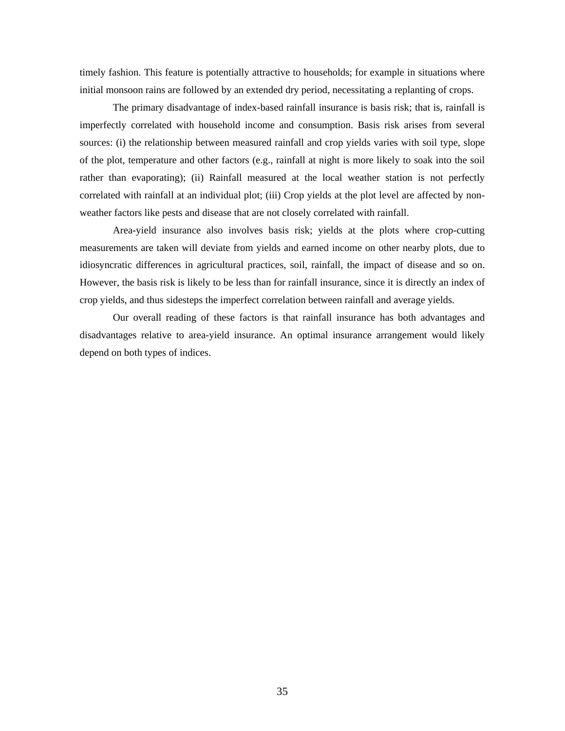timely fashion. This feature is potentially attractive to households; for example in situations where initial monsoon rains are followed by an extended dry period, necessitating a replanting of crops.

The primary disadvantage of index-based rainfall insurance is basis risk; that is, rainfall is imperfectly correlated with household income and consumption. Basis risk arises from several sources: (i) the relationship between measured rainfall and crop yields varies with soil type, slope of the plot, temperature and other factors (e.g., rainfall at night is more likely to soak into the soil rather than evaporating); (ii) Rainfall measured at the local weather station is not perfectly correlated with rainfall at an individual plot; (iii) Crop yields at the plot level are affected by nonweather factors like pests and disease that are not closely correlated with rainfall.

Area-yield insurance also involves basis risk; yields at the plots where crop-cutting measurements are taken will deviate from yields and earned income on other nearby plots, due to idiosyncratic differences in agricultural practices, soil, rainfall, the impact of disease and so on. However, the basis risk is likely to be less than for rainfall insurance, since it is directly an index of crop yields, and thus sidesteps the imperfect correlation between rainfall and average yields.

Our overall reading of these factors is that rainfall insurance has both advantages and disadvantages relative to area-yield insurance. An optimal insurance arrangement would likely depend on both types of indices.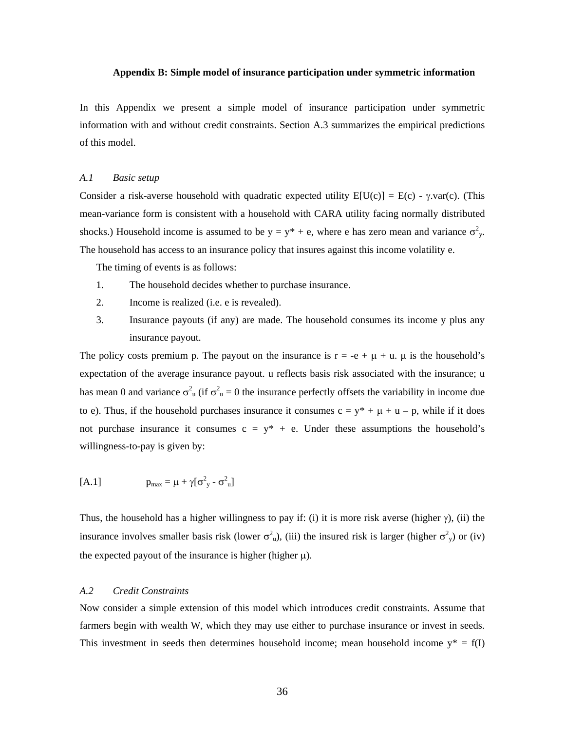#### **Appendix B: Simple model of insurance participation under symmetric information**

In this Appendix we present a simple model of insurance participation under symmetric information with and without credit constraints. Section A.3 summarizes the empirical predictions of this model.

#### *A.1 Basic setup*

Consider a risk-averse household with quadratic expected utility  $E[U(c)] = E(c) - \gamma \cdot \text{var}(c)$ . (This mean-variance form is consistent with a household with CARA utility facing normally distributed shocks.) Household income is assumed to be  $y = y^* + e$ , where e has zero mean and variance  $\sigma_y^2$ . The household has access to an insurance policy that insures against this income volatility e.

The timing of events is as follows:

- 1. The household decides whether to purchase insurance.
- 2. Income is realized (i.e. e is revealed).
- 3. Insurance payouts (if any) are made. The household consumes its income y plus any insurance payout.

The policy costs premium p. The payout on the insurance is  $r = -e + \mu + u$ .  $\mu$  is the household's expectation of the average insurance payout. u reflects basis risk associated with the insurance; u has mean 0 and variance  $\sigma_u^2$  (if  $\sigma_u^2 = 0$  the insurance perfectly offsets the variability in income due to e). Thus, if the household purchases insurance it consumes  $c = y^* + \mu + u - p$ , while if it does not purchase insurance it consumes  $c = y^* + e$ . Under these assumptions the household's willingness-to-pay is given by:

$$
[A.1] \qquad \qquad p_{\text{max}} = \mu + \gamma [\sigma_{y}^{2} - \sigma_{u}^{2}]
$$

Thus, the household has a higher willingness to pay if: (i) it is more risk averse (higher  $\gamma$ ), (ii) the insurance involves smaller basis risk (lower  $\sigma_u^2$ ), (iii) the insured risk is larger (higher  $\sigma_y^2$ ) or (iv) the expected payout of the insurance is higher (higher  $\mu$ ).

#### *A.2 Credit Constraints*

Now consider a simple extension of this model which introduces credit constraints. Assume that farmers begin with wealth W, which they may use either to purchase insurance or invest in seeds. This investment in seeds then determines household income; mean household income  $y^* = f(I)$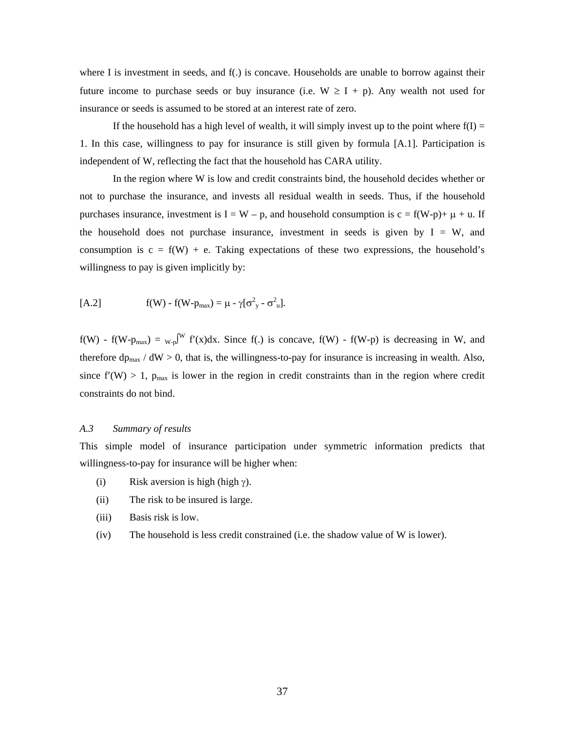where I is investment in seeds, and f(.) is concave. Households are unable to borrow against their future income to purchase seeds or buy insurance (i.e.  $W \ge I + p$ ). Any wealth not used for insurance or seeds is assumed to be stored at an interest rate of zero.

If the household has a high level of wealth, it will simply invest up to the point where  $f(1) =$ 1. In this case, willingness to pay for insurance is still given by formula [A.1]. Participation is independent of W, reflecting the fact that the household has CARA utility.

In the region where W is low and credit constraints bind, the household decides whether or not to purchase the insurance, and invests all residual wealth in seeds. Thus, if the household purchases insurance, investment is  $I = W - p$ , and household consumption is  $c = f(W-p) + \mu + u$ . If the household does not purchase insurance, investment in seeds is given by  $I = W$ , and consumption is  $c = f(W) + e$ . Taking expectations of these two expressions, the household's willingness to pay is given implicitly by:

$$
[A.2] \qquad \qquad f(W) - f(W - p_{\text{max}}) = \mu - \gamma [\sigma_{y}^{2} - \sigma_{u}^{2}].
$$

 $f(W)$  -  $f(W-p_{max}) = w_{p}W f'(x)dx$ . Since  $f(.)$  is concave,  $f(W)$  -  $f(W-p)$  is decreasing in W, and therefore  $dp_{\text{max}}$  /  $dW > 0$ , that is, the willingness-to-pay for insurance is increasing in wealth. Also, since  $f'(W) > 1$ ,  $p_{max}$  is lower in the region in credit constraints than in the region where credit constraints do not bind.

#### *A.3 Summary of results*

This simple model of insurance participation under symmetric information predicts that willingness-to-pay for insurance will be higher when:

- (i) Risk aversion is high (high  $\gamma$ ).
- (ii) The risk to be insured is large.
- (iii) Basis risk is low.
- (iv) The household is less credit constrained (i.e. the shadow value of W is lower).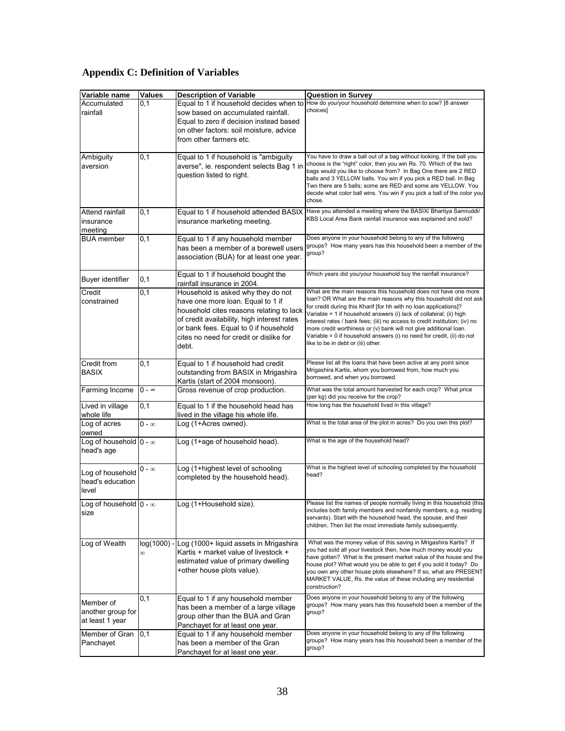## **Appendix C: Definition of Variables**

| Variable name                                       | <b>Values</b> | <b>Description of Variable</b>                                                                                                                                                                                                                                  | Question in Survey                                                                                                                                                                                                                                                                                                                                                                                                                                                                                                                                 |
|-----------------------------------------------------|---------------|-----------------------------------------------------------------------------------------------------------------------------------------------------------------------------------------------------------------------------------------------------------------|----------------------------------------------------------------------------------------------------------------------------------------------------------------------------------------------------------------------------------------------------------------------------------------------------------------------------------------------------------------------------------------------------------------------------------------------------------------------------------------------------------------------------------------------------|
| Accumulated<br>rainfall                             | 0,1           | Equal to 1 if household decides when to<br>sow based on accumulated rainfall.<br>Equal to zero if decision instead based<br>on other factors: soil moisture, advice<br>from other farmers etc.                                                                  | How do you/your household determine when to sow? [8 answer<br>choices]                                                                                                                                                                                                                                                                                                                                                                                                                                                                             |
| Ambiguity<br>aversion                               | 0,1           | Equal to 1 if household is "ambiguity<br>averse", ie. respondent selects Bag 1 in<br>question listed to right.                                                                                                                                                  | You have to draw a ball out of a bag without looking. If the ball you<br>choose is the "right" color, then you win Rs. 70. Which of the two<br>bags would you like to choose from? In Bag One there are 2 RED<br>balls and 3 YELLOW balls. You win if you pick a RED ball. In Bag<br>Two there are 5 balls; some are RED and some are YELLOW. You<br>decide what color ball wins. You win if you pick a ball of the color you<br>chose.                                                                                                            |
| Attend rainfall<br>insurance<br>meeting             | 0,1           | Equal to 1 if household attended BASIX<br>insurance marketing meeting.                                                                                                                                                                                          | Have you attended a meeting where the BASIX/ Bhartiya Samruddi/<br>KBS Local Area Bank rainfall insurance was explained and sold?                                                                                                                                                                                                                                                                                                                                                                                                                  |
| <b>BUA</b> member                                   | 0,1           | Equal to 1 if any household member<br>has been a member of a borewell users<br>association (BUA) for at least one year.                                                                                                                                         | Does anyone in your household belong to any of the following<br>groups? How many years has this household been a member of the<br>group?                                                                                                                                                                                                                                                                                                                                                                                                           |
| Buyer identifier                                    | 0,1           | Equal to 1 if household bought the<br>rainfall insurance in 2004.                                                                                                                                                                                               | Which years did you/your household buy the rainfall insurance?                                                                                                                                                                                                                                                                                                                                                                                                                                                                                     |
| Credit<br>constrained                               | 0,1           | Household is asked why they do not<br>have one more loan. Equal to 1 if<br>household cites reasons relating to lack<br>of credit availability, high interest rates<br>or bank fees. Equal to 0 if household<br>cites no need for credit or dislike for<br>debt. | What are the main reasons this household does not have one more<br>loan? OR What are the main reasons why this household did not ask<br>for credit during this Kharif [for hh with no loan applications]?<br>Variable = 1 if household answers (i) lack of collateral; (ii) high<br>interest rates / bank fees; (iii) no access to credit institution; (iv) no<br>more credit worthiness or (v) bank will not give additional loan.<br>Variable = 0 if household answers (i) no need for credit, (ii) do not<br>like to be in debt or (iii) other. |
| Credit from<br><b>BASIX</b>                         | 0,1           | Equal to 1 if household had credit<br>outstanding from BASIX in Mrigashira<br>Kartis (start of 2004 monsoon).                                                                                                                                                   | Please list all the loans that have been active at any point since<br>Mrigashira Kartis, whom you borrowed from, how much you<br>borrowed, and when you borrowed.                                                                                                                                                                                                                                                                                                                                                                                  |
| Farming Income                                      | $0 - \infty$  | Gross revenue of crop production.                                                                                                                                                                                                                               | What was the total amount harvested for each crop? What price<br>(per kg) did you receive for the crop?                                                                                                                                                                                                                                                                                                                                                                                                                                            |
| Lived in village<br>whole life                      | 0,1           | Equal to 1 if the household head has<br>lived in the village his whole life.                                                                                                                                                                                    | How long has the household lived in this village?                                                                                                                                                                                                                                                                                                                                                                                                                                                                                                  |
| Log of acres<br>owned                               | $0 - \infty$  | Log (1+Acres owned).                                                                                                                                                                                                                                            | What is the total area of the plot in acres? Do you own this plot?                                                                                                                                                                                                                                                                                                                                                                                                                                                                                 |
| Log of household $0 - \infty$<br>head's age         |               | Log (1+age of household head).                                                                                                                                                                                                                                  | What is the age of the household head?                                                                                                                                                                                                                                                                                                                                                                                                                                                                                                             |
| Log of household<br>head's education<br>level       | 0 - ∞         | Log (1+highest level of schooling<br>completed by the household head).                                                                                                                                                                                          | What is the highest level of schooling completed by the household<br>head?                                                                                                                                                                                                                                                                                                                                                                                                                                                                         |
| Log of household $\vert 0 - \infty \rangle$<br>size |               | Log (1+Household size).                                                                                                                                                                                                                                         | Please list the names of people normally living in this household (this<br>includes both family members and nonfamily members, e.g. residing<br>servants). Start with the household head, the spouse, and their<br>children. Then list the most immediate family subsequently.                                                                                                                                                                                                                                                                     |
| Log of Wealth                                       |               | log(1000) - Log (1000+ liquid assets in Mrigashira<br>Kartis + market value of livestock +<br>estimated value of primary dwelling<br>+other house plots value).                                                                                                 | What was the money value of this saving in Mrigashira Kartis? If<br>you had sold all your livestock then, how much money would you<br>have gotten? What is the present market value of the house and the<br>house plot? What would you be able to get if you sold it today? Do<br>you own any other house plots elsewhere? If so, what are PRESENT<br>MARKET VALUE, Rs. the value of these including any residential<br>construction?                                                                                                              |
| Member of<br>another group for<br>at least 1 year   | 0,1           | Equal to 1 if any household member<br>has been a member of a large village<br>group other than the BUA and Gran<br>Panchayet for at least one year.                                                                                                             | Does anyone in your household belong to any of the following<br>groups? How many years has this household been a member of the<br>group?                                                                                                                                                                                                                                                                                                                                                                                                           |
| Member of Gran<br>Panchayet                         | 0,1           | Equal to 1 if any household member<br>has been a member of the Gran<br>Panchayet for at least one year.                                                                                                                                                         | Does anyone in your household belong to any of the following<br>groups? How many years has this household been a member of the<br>group?                                                                                                                                                                                                                                                                                                                                                                                                           |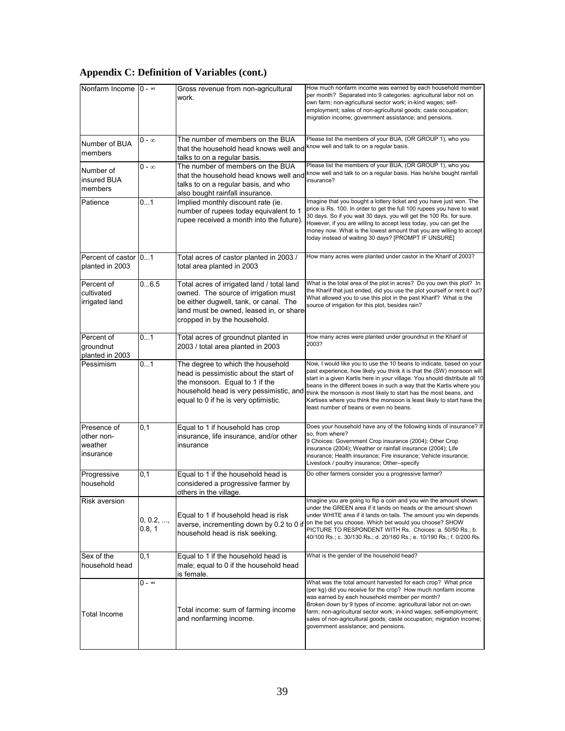## **Appendix C: Definition of Variables (cont.)**

| Nonfarm Income                                    | $0 - \infty$        | Gross revenue from non-agricultural<br>work.                                                                                                                                                            | How much nonfarm income was earned by each household member<br>per month? Separated into 9 categories: agricultural labor not on<br>own farm; non-agricultural sector work; in-kind wages; self-<br>employment; sales of non-agricultural goods; caste occupation;<br>migration income; government assistance; and pensions.                                                                                                                                                                   |
|---------------------------------------------------|---------------------|---------------------------------------------------------------------------------------------------------------------------------------------------------------------------------------------------------|------------------------------------------------------------------------------------------------------------------------------------------------------------------------------------------------------------------------------------------------------------------------------------------------------------------------------------------------------------------------------------------------------------------------------------------------------------------------------------------------|
| Number of BUA<br>members                          | 0 - ∞               | The number of members on the BUA<br>that the household head knows well and<br>talks to on a regular basis.                                                                                              | Please list the members of your BUA, (OR GROUP 1), who you<br>know well and talk to on a regular basis.                                                                                                                                                                                                                                                                                                                                                                                        |
| Number of<br>insured BUA<br>members               | $0 - \infty$        | The number of members on the BUA<br>that the household head knows well and<br>talks to on a regular basis, and who<br>also bought rainfall insurance.                                                   | Please list the members of your BUA, (OR GROUP 1), who you<br>know well and talk to on a regular basis. Has he/she bought rainfall<br>insurance?                                                                                                                                                                                                                                                                                                                                               |
| Patience                                          | 01                  | Implied monthly discount rate (ie.<br>number of rupees today equivalent to 1<br>rupee received a month into the future).                                                                                | Imagine that you bought a lottery ticket and you have just won. The<br>price is Rs. 100. In order to get the full 100 rupees you have to wait<br>30 days. So if you wait 30 days, you will get the 100 Rs. for sure.<br>However, if you are willing to accept less today, you can get the<br>money now. What is the lowest amount that you are willing to accept<br>today instead of waiting 30 days? [PROMPT IF UNSURE]                                                                       |
| Percent of castor 01<br>planted in 2003           |                     | Total acres of castor planted in 2003 /<br>total area planted in 2003                                                                                                                                   | How many acres were planted under castor in the Kharif of 2003?                                                                                                                                                                                                                                                                                                                                                                                                                                |
| Percent of<br>cultivated<br>irrigated land        | 06.5                | Total acres of irrigated land / total land<br>owned. The source of irrigation must<br>be either dugwell, tank, or canal. The<br>land must be owned, leased in, or share<br>cropped in by the household. | What is the total area of the plot in acres? Do you own this plot? In<br>the Kharif that just ended, did you use the plot yourself or rent it out?<br>What allowed you to use this plot in the past Kharif? What is the<br>source of irrigation for this plot, besides rain?                                                                                                                                                                                                                   |
| Percent of<br>groundnut<br>planted in 2003        | 01                  | Total acres of groundnut planted in<br>2003 / total area planted in 2003                                                                                                                                | How many acres were planted under groundnut in the Kharif of<br>2003?                                                                                                                                                                                                                                                                                                                                                                                                                          |
| Pessimism                                         | 01                  | The degree to which the household<br>head is pessimistic about the start of<br>the monsoon. Equal to 1 if the<br>household head is very pessimistic, and<br>equal to 0 if he is very optimistic.        | Now, I would like you to use the 10 beans to indicate, based on your<br>past experience, how likely you think it is that the (SW) monsoon will<br>start in a given Kartis here in your village. You should distribute all 10<br>beans in the different boxes in such a way that the Kartis where you<br>think the monsoon is most likely to start has the most beans, and<br>Kartises where you think the monsoon is least likely to start have the<br>least number of beans or even no beans. |
| Presence of<br>other non-<br>weather<br>insurance | 0,1                 | Equal to 1 if household has crop<br>insurance, life insurance, and/or other<br>insurance                                                                                                                | Does your household have any of the following kinds of insurance? If<br>so, from where?<br>9 Choices: Government Crop insurance (2004); Other Crop<br>insurance (2004); Weather or rainfall insurance (2004); Life<br>insurance; Health insurance; Fire insurance; Vehicle insurance;<br>Livestock / poultry insurance; Other--specify                                                                                                                                                         |
| Progressive<br>household                          | 0,1                 | Equal to 1 if the household head is<br>considered a progressive farmer by<br>others in the village.                                                                                                     | Do other farmers consider you a progressive farmer?                                                                                                                                                                                                                                                                                                                                                                                                                                            |
| Risk aversion                                     | 0, 0.2, ,<br>0.8, 1 | Equal to 1 if household head is risk<br>averse, incrementing down by 0.2 to 0 if<br>household head is risk seeking.                                                                                     | Imagine you are going to flip a coin and you win the amount shown<br>under the GREEN area if it lands on heads or the amount shown<br>under WHITE area if it lands on tails. The amount you win depends<br>on the bet you choose. Which bet would you choose? SHOW<br>PICTURE TO RESPONDENT WITH Rs. Choices: a. 50/50 Rs.; b.<br>40/100 Rs.; c. 30/130 Rs.; d. 20/160 Rs.; e. 10/190 Rs.; f. 0/200 Rs.                                                                                        |
| Sex of the<br>household head                      | 0,1                 | Equal to 1 if the household head is<br>male; equal to 0 if the household head<br>is female.                                                                                                             | What is the gender of the household head?                                                                                                                                                                                                                                                                                                                                                                                                                                                      |
| Total Income                                      | $0 - \infty$        | Total income: sum of farming income<br>and nonfarming income.                                                                                                                                           | What was the total amount harvested for each crop? What price<br>(per kg) did you receive for the crop? How much nonfarm income<br>was earned by each household member per month?<br>Broken down by 9 types of income: agricultural labor not on own<br>farm; non-agricultural sector work; in-kind wages; self-employment;<br>sales of non-agricultural goods; caste occupation; migration income;<br>government assistance; and pensions.                                                    |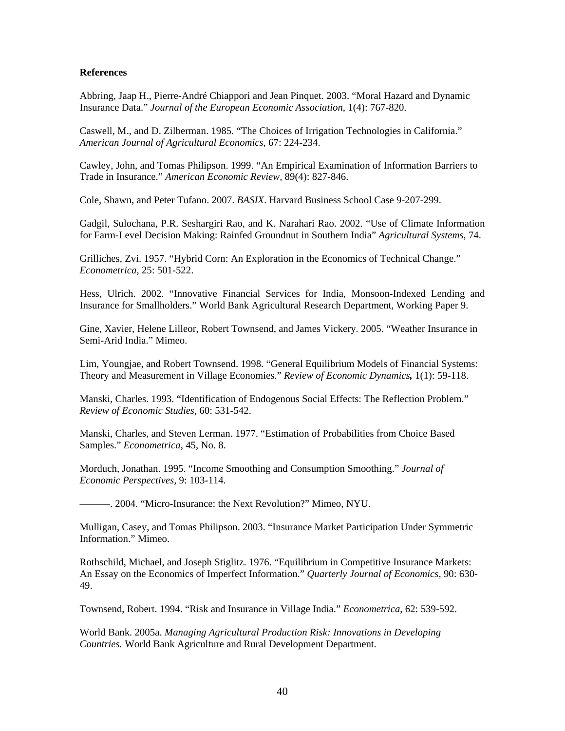#### **References**

Abbring, Jaap H., Pierre-André Chiappori and Jean Pinquet. 2003. "Moral Hazard and Dynamic Insurance Data." *Journal of the European Economic Association*, 1(4): 767-820.

Caswell, M., and D. Zilberman. 1985. "The Choices of Irrigation Technologies in California." *American Journal of Agricultural Economics*, 67: 224-234.

Cawley, John, and Tomas Philipson. 1999. "An Empirical Examination of Information Barriers to Trade in Insurance." *American Economic Review,* 89(4): 827-846.

Cole, Shawn, and Peter Tufano. 2007. *BASIX*. Harvard Business School Case 9-207-299.

Gadgil, Sulochana, P.R. Seshargiri Rao, and K. Narahari Rao. 2002. "Use of Climate Information for Farm-Level Decision Making: Rainfed Groundnut in Southern India" *Agricultural Systems*, 74.

Grilliches, Zvi. 1957. "Hybrid Corn: An Exploration in the Economics of Technical Change." *Econometrica*, 25: 501-522.

Hess, Ulrich. 2002. "Innovative Financial Services for India, Monsoon-Indexed Lending and Insurance for Smallholders." World Bank Agricultural Research Department, Working Paper 9.

Gine, Xavier, Helene Lilleor, Robert Townsend, and James Vickery. 2005. "Weather Insurance in Semi-Arid India." Mimeo.

Lim, Youngjae, and Robert Townsend. 1998. "General Equilibrium Models of Financial Systems: Theory and Measurement in Village Economies." *Review of Economic Dynamics,* 1(1): 59-118.

Manski, Charles. 1993. "Identification of Endogenous Social Effects: The Reflection Problem." *Review of Economic Studies*, 60: 531-542.

Manski, Charles, and Steven Lerman. 1977. "Estimation of Probabilities from Choice Based Samples." *Econometrica*, 45, No. 8.

Morduch, Jonathan. 1995. "Income Smoothing and Consumption Smoothing." *Journal of Economic Perspectives,* 9: 103-114.

———. 2004. "Micro-Insurance: the Next Revolution?" Mimeo, NYU.

Mulligan, Casey, and Tomas Philipson. 2003. "Insurance Market Participation Under Symmetric Information." Mimeo.

Rothschild, Michael, and Joseph Stiglitz. 1976. "Equilibrium in Competitive Insurance Markets: An Essay on the Economics of Imperfect Information." *Quarterly Journal of Economics*, 90: 630- 49.

Townsend, Robert. 1994. "Risk and Insurance in Village India." *Econometrica*, 62: 539-592.

World Bank. 2005a. *Managing Agricultural Production Risk: Innovations in Developing Countries.* World Bank Agriculture and Rural Development Department.